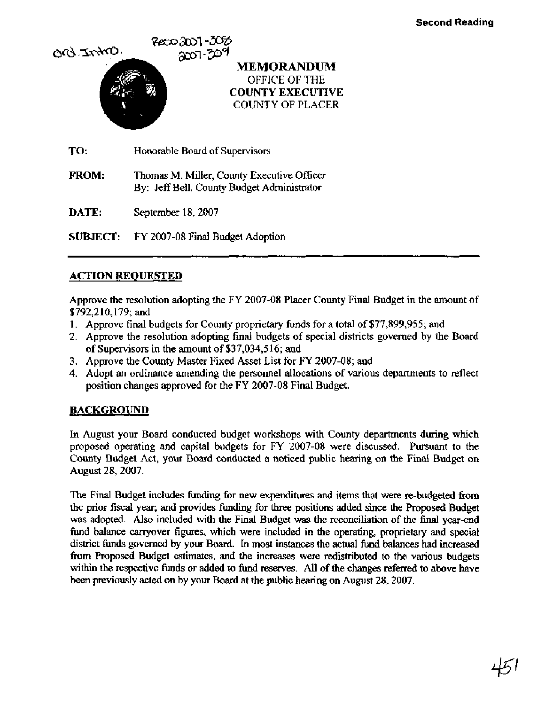

**DATE:** September 18,2007

**SUBJECT:** FY 2007-08 Final Budget Adoption

#### **ACTION REQUESTED**

Approve the resolution adopting the FY 2007-08 Placer County Final Budget in the amount of \$792,2 10,179; and

- 1. Approve final budgets for County proprietary funds for a total of \$77,899,955; and
- 2. Approve the resolution adopting final budgets of special districts governed by the Board of Supervisors in the amount of \$37,034,5 16; and
- 3. Approve the County Master Fixed Asset List for FY 2007-08; and
- 4. Adopt an ordinance amending the personnel allocations of various departments to reflect position changes approved for the FY 2007-08 Final Budget.

### **BACKGROUND**

In August your Board conducted budget workshops with County departments during which proposed operating and capital budgets for FY 2007-08 were discussed. Pursuant to the County Budget Act, your Board conducted a noticed public hearing on the Final Budget on August 28,2007.

The Final Budget includes funding for new expenditures and items that were re-budgeted fiom the prior fiscal year; and provides funding for three positions added since the Proposed Budget was adopted. Also included **with** the Final Budget was the reconciliation of the final year-end fund balance carryover figures, which were included in the operating, proprietary and special district funds governed by your Board. In most instances the actual fund balances had increased **fivm** Proposed Budget estimates, and the increases were redistributed to the various budgets within the respective funds or added to fund reserves. All of the changes referred to above have been previously acted on by your Board at the public hearing on August 28,2007.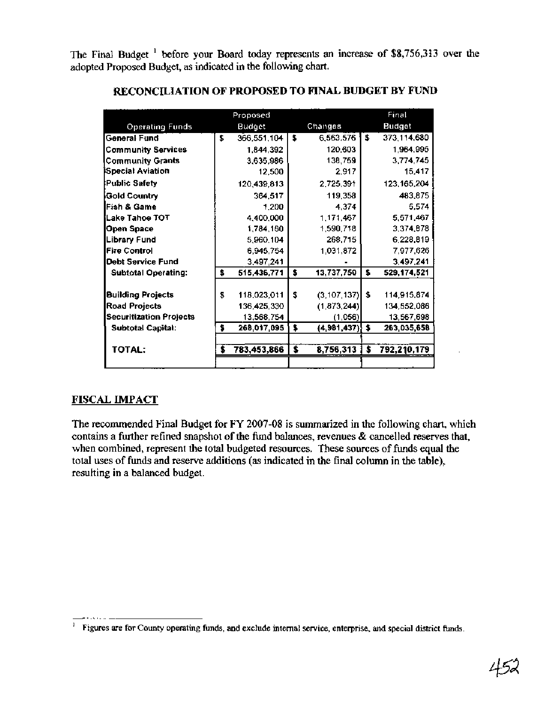The Final Budget  $<sup>1</sup>$  before your Board today represents an increase of \$8,756,313 over the</sup> adopted Proposed Budget, as indicated in the following chart.

|                                |    | Proposed    |    |                  |      | Final         |
|--------------------------------|----|-------------|----|------------------|------|---------------|
| <b>Operating Funds</b>         |    | Budget      |    | Changes          |      | <b>Budget</b> |
| General Fund                   | \$ | 366,551,104 | Ŝ  | 6,563,576        | - \$ | 373,114,680   |
| <b>Community Services</b>      |    | 1.844.392   |    | 120.603          |      | 1.964.995     |
| <b>Community Grants</b>        |    | 3,635,986   |    | 138,759          |      | 3,774,745     |
| Special Aviation               |    | 12,500      |    | 2,917            |      | 15,417        |
| <b>Public Safety</b>           |    | 120,439,813 |    | 2,725,391        |      | 123, 165, 204 |
| Gold Country                   |    | 364,517     |    | 119,358          |      | 483,875       |
| Fish & Game                    |    | 1.200       |    | 4.374            |      | 5,574         |
| Lake Tahoe TOT                 |    | 4,400,000   |    | 1,171,467        |      | 5,571.467     |
| Open Space                     |    | 1,784,160   |    | 1,590,718        |      | 3,374,878     |
| <b>Library Fund</b>            |    | 5,960,104   |    | 268,715          |      | 6,228,819     |
| <b>Fire Control</b>            |    | 6.945.754   |    | 1,031,872        |      | 7,977,626     |
| <b>Debt Service Fund</b>       |    | 3,497,241   |    |                  |      | 3,497,241     |
| <b>Subtotal Operating:</b>     | \$ | 515,436,771 | \$ | 13,737,750       | \$.  | 529,174,521   |
| <b>Building Projects</b>       | \$ | 118,023,011 | \$ | (3, 107, 137)    | s.   | 114,915,874   |
| <b>Road Projects</b>           |    | 136,425,330 |    | (1,873,244)      |      | 134.552.086   |
| <b>Securitization Projects</b> |    | 13,568,754  |    | (1,056)          |      | 13,567,698    |
| <b>Subtotal Capital:</b>       | \$ | 268,017,095 | \$ | ${4,981,437}$ \$ |      | 263,035,658   |
|                                |    |             |    |                  |      |               |
| TOTAL:                         | s  | 783,453,866 | \$ | 8,756,313        | \$   | 792,210,179   |
|                                |    |             |    |                  |      |               |

## **RECONCILIATION OF PROPOSED TO FINAL BUDGET BY FUND**

#### **FISCAL IMPACT**

The recommended Final Budget for FY 2007-08 is summarized in the following chart, which contains a further refined snapshot of the fund balances, revenues & cancelled reserves that, when combined, represent the total budgeted resources. These sources of funds equal the total uses of funds and reserve additions (as indicated in the final column in the table), resulting in a balanced budget.

<sup>&#</sup>x27; Figures are for County operating funds, and exclude internal service, enterprise, and special district **funds.**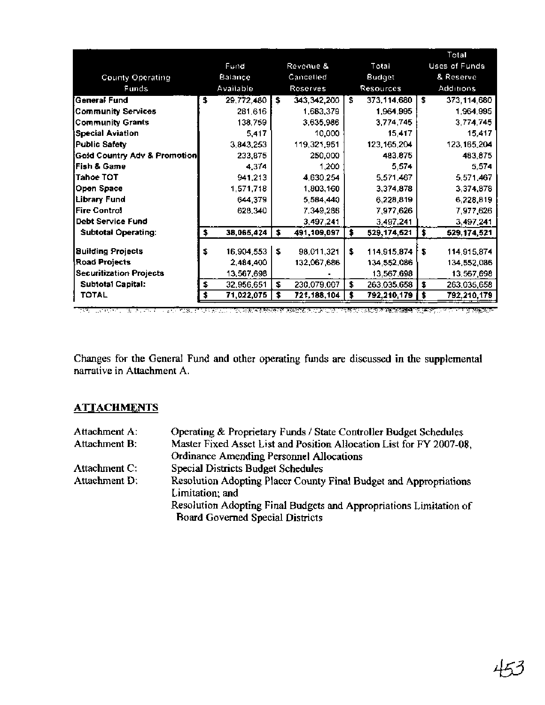|                                |    |            |    |             |    |               |     | Total                |
|--------------------------------|----|------------|----|-------------|----|---------------|-----|----------------------|
|                                |    | Fund       |    | Revenue &   |    | Total         |     | <b>Uses of Funds</b> |
| County Operating               |    | Balance    |    | Cancelled   |    | Budget        |     | & Reserve            |
| Funds                          |    | Available  |    | Reserves    |    | Resources     |     | Additions            |
| General Fund                   | \$ | 29,772,480 | \$ | 343,342,200 | £  | 373,114,680   | l S | 373,114,680          |
| <b>Community Services</b>      |    | 281,616    |    | 1,683,379   |    | 1,964,995     |     | 1,964,995            |
| <b>Community Grants</b>        |    | 138,759    |    | 3,635,986   |    | 3,774,745     |     | 3,774,745            |
| Special Aviation               |    | 5.417      |    | 10,000      |    | 15,417        |     | 15,417               |
| <b>Public Safety</b>           |    | 3,843,253  |    | 119,321,951 |    | 123, 165, 204 |     | 123, 165, 204        |
| Gold Country Adv & Promotion   |    | 233,875    |    | 250,000     |    | 483,875       |     | 483,875              |
| iFish & Game                   |    | 4.374      |    | 1,200       |    | 5.574         |     | 5,574                |
| lTahoe TOT                     |    | 941,213    |    | 4,630,254   |    | 5,571,467     |     | 5,571,467            |
| <b>Open Space</b>              |    | 1,571,718  |    | 1,803,160   |    | 3,374,878     |     | 3,374,878            |
| Library Fund                   |    | 644,379    |    | 5,584,440   |    | 6,228,819     |     | 6,228,819            |
| Fire Control                   |    | 628,340    |    | 7,349,286   |    | 7,977,626     |     | 7,977,626            |
| <b>Debt Service Fund</b>       |    |            |    | 3,497,241   |    | 3,497,241     |     | 3,497,241            |
| Subtotal Operating:            | \$ | 38,065,424 | \$ | 491,109,097 | \$ | 529, 174, 521 | \$  | 529,174,521          |
| <b>Building Projects</b>       | s  | 16,904,553 | 5  | 98,011,321  | Ŝ. | 114,915,874   | s   | 114,915,874          |
| Road Projects                  |    | 2,484,400  |    | 132,067,686 |    | 134,552,086   |     | 134,552,086          |
| <b>Securitization Projects</b> |    | 13,567,698 |    |             |    | 13,567,698    |     | 13,567,698           |
| <b>Subtotal Capital:</b>       | \$ | 32,956,651 | \$ | 230,079,007 | \$ | 263,035,658   | \$  | 263,035,658          |
| <b>TOTAL</b>                   |    | 71,022,075 | \$ | 721,188,104 | \$ | 792,210,179   | \$  | 792,210,179          |

i tri Turkish di Tales e le si Truel mesecul di sepertamente mende serve **SANARA A A A SA** 化聚癸二酸医聚癸 والمتخلفة والمترا

Changes for the General Fund and other operating funds are discussed in the supplemental narrative in Attachment A.

#### **ATTACHMENTS**

| Attachment A: | Operating & Proprietary Funds / State Controller Budget Schedules    |
|---------------|----------------------------------------------------------------------|
| Attachment B: | Master Fixed Asset List and Position Allocation List for FY 2007-08, |
|               | Ordinance Amending Personnel Allocations                             |
| Attachment C: | Special Districts Budget Schedules                                   |
| Attachment D: | Resolution Adopting Placer County Final Budget and Appropriations    |
|               | Limitation; and                                                      |
|               | Resolution Adopting Final Budgets and Appropriations Limitation of   |
|               | <b>Board Governed Special Districts</b>                              |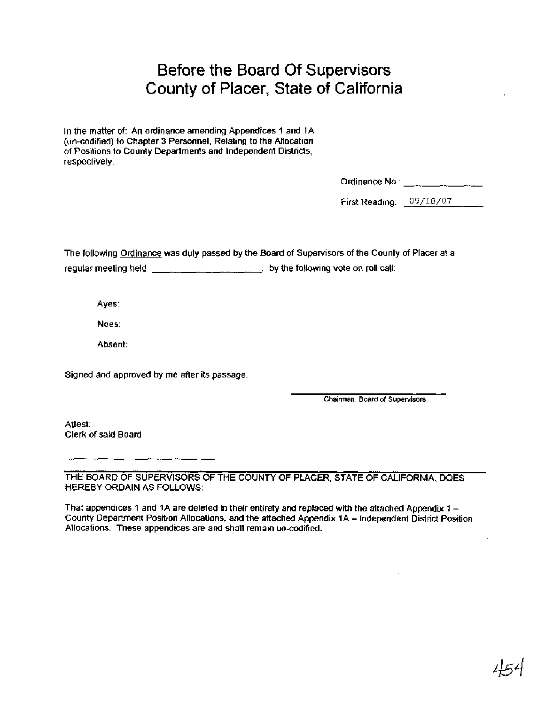# Before the Board Of Supervisors County of Placer, State of California

In the matter of: An ordinance amending Appendices 1 and 1A (un-codified) to Chapter 3 Personnel, Relating to the Allocation of Positions to County Departments and lndependent Districts, respectively.

Ordinance No.:  $\frac{1}{2}$   $\frac{1}{2}$   $\frac{1}{2}$   $\frac{1}{2}$   $\frac{1}{2}$   $\frac{1}{2}$   $\frac{1}{2}$   $\frac{1}{2}$   $\frac{1}{2}$   $\frac{1}{2}$   $\frac{1}{2}$   $\frac{1}{2}$   $\frac{1}{2}$   $\frac{1}{2}$   $\frac{1}{2}$   $\frac{1}{2}$   $\frac{1}{2}$   $\frac{1}{2}$   $\frac{1}{2}$   $\frac{1}{2}$   $\frac{1}{$ 

First Reading: 09/18/07

The following Ordinance was duly passed by the Board of Supervisors of the County of Placer at a regular meeting held  $\frac{1}{1}$  by the following vote on roll call:

Ayes:

Noes:

Absent:

Signed and approved by me after its passage.

**Chairman, Board of Supervisors** 

Attest: Clerk of said Board

THE BOARD OF SUPERVISORS OF THE COUNTY OF PLACER, STATE OF CALIFORNIA, DOES HEREBY ORDAIN AS FOLLOWS:

That appendices 1 and 1A are defeted in their entirety and replaced with the attached Appendix  $1 -$ County Department Position Allocations, and the attached Appendix 1A - lndependent District Position Allocations. These appendices are and shall remain un-codified.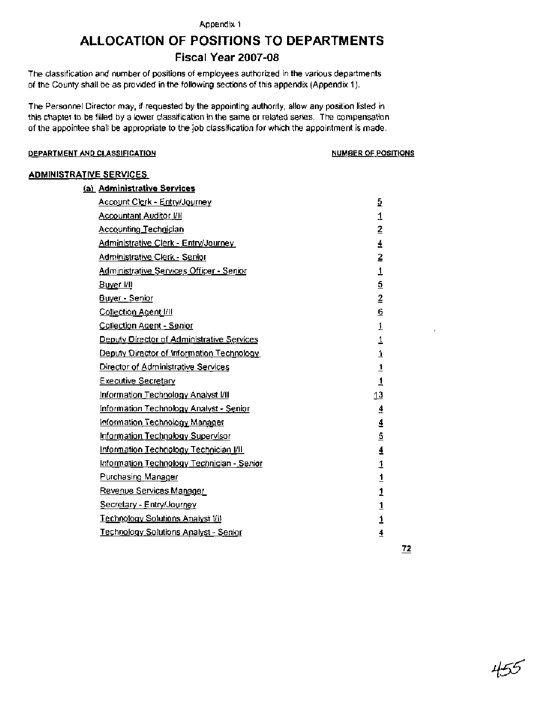#### Appendix 1

# **ALLOCATION OF POSITIONS TO DEPARTMENTS**

#### **Fiscal Year 2007-08**

The classification and number of positions of employees authorized in the various departments of the County shall be as provided in the following sections of this appendix (Appendix 1).

The Personnel Director may, if requested by the appointing authority, allow any position listed in this chapter to be filled by a lower classification in the same or related series. The compensation of the appointee shall be appropriate to the job classification for which the appointment is made.

#### **DEPARTMENT AND CLASSIFICATION NUMBER OF POSITIONS**

| <b>ADMINISTRATIVE SERVICES</b>                  |                 |
|-------------------------------------------------|-----------------|
| (a) Administrative Services                     |                 |
| Account Clerk - Entry/Journey                   | 5               |
| <u>Accountant Auditor I/II</u>                  | 1               |
| Accounting Technician                           | $\tilde{z}$     |
| Administrative Clerk - Entry/Journey            | $\frac{4}{1}$   |
| Administrative Clerk - Senior                   | 2               |
| Administrative Services Officer - Senior        | 1               |
| Buyer I/II                                      | 5               |
| Buyer - Senior                                  | $\overline{2}$  |
| Collection Agent I/II                           | $\underline{6}$ |
| Collection Agent - Senior                       | $\mathbf{1}$    |
| Deputy Director of Administrative Services      | 1               |
| Deputy Director of Information Technology       | 1               |
| Director of Administrative Services             |                 |
| <b>Executive Secretary</b>                      | $\frac{1}{1}$   |
| Information Technology Analyst I/II             | $\overline{13}$ |
| <u> Information Technology Analyst - Senior</u> | $\overline{4}$  |
| <u>Information Technology Manager</u>           | $\overline{4}$  |
| Information Technology Supervisor               | $\overline{5}$  |
| Information Technology Technician I/II          | $\overline{4}$  |
| Information Technology Technician - Senior      | 1               |
| <b>Purchasing Manager</b>                       | $\frac{1}{1}$   |
| Revenue Services Manager                        |                 |
| Secretary - Entry/Journey                       | $\overline{1}$  |
| Technology Solutions Analyst [/i]               | $\overline{1}$  |
| <u> Technology Solutions Analyst - Senior</u>   | $\overline{4}$  |

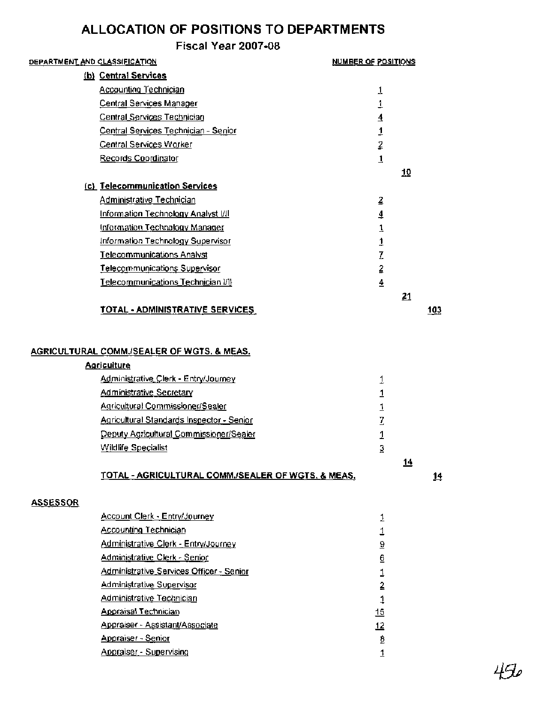| DEPARTMENT AND CLASSIFICATION |                                                                  | <b>NUMBER OF POSITIONS</b> |            |            |
|-------------------------------|------------------------------------------------------------------|----------------------------|------------|------------|
|                               | (b) Central Services                                             |                            |            |            |
|                               | <b>Accounting Technician</b>                                     | 1                          |            |            |
|                               | Central Services Manager                                         | 1                          |            |            |
|                               | Central Services Technician                                      | $\overline{4}$             |            |            |
|                               | Central Services Technician - Senior                             | 1                          |            |            |
|                               | Central Services Worker                                          | $\overline{2}$             |            |            |
|                               | Records Coordinator                                              | $\overline{1}$             |            |            |
|                               |                                                                  |                            | 10         |            |
|                               | (c) Telecommunication Services                                   |                            |            |            |
|                               | Administrative Technician                                        | 2                          |            |            |
|                               | Information Technology Analyst [/]                               | 4                          |            |            |
|                               | Information Technology Manager                                   | $\overline{1}$             |            |            |
|                               | Information Technology Supervisor                                | $\mathbf{1}$               |            |            |
|                               | <b>Telecommunications Analyst</b>                                | Z                          |            |            |
|                               | Telecommunications Supervisor                                    | $\overline{2}$             |            |            |
|                               | Telecommunications Technician I/II                               | $\overline{4}$             |            |            |
|                               |                                                                  |                            | 21         |            |
|                               | <u>TOTAL - ADMINISTRATIVE SERVICES</u>                           |                            |            | 103        |
|                               |                                                                  |                            |            |            |
|                               | AGRICULTURAL COMM./SEALER OF WGTS. & MEAS.<br><b>Agriculture</b> |                            |            |            |
|                               | Administrative Clerk - Entry/Journey                             | 1                          |            |            |
|                               | <b>Administrative Secretary</b>                                  | $\overline{1}$             |            |            |
|                               | Agricultural Commissioner/Sealer                                 | $\mathbf{1}$               |            |            |
|                               | Agricultural Standards Inspector - Senior                        | $\overline{I}$             |            |            |
|                               | Deputy Agricultural Commissioner/Sealer                          | 1                          |            |            |
|                               | Wildlife Specialist                                              | $\overline{3}$             |            |            |
|                               |                                                                  |                            | <u> 14</u> |            |
|                               | TOTAL - AGRICULTURAL COMM./SEALER OF WGTS. & MEAS.               |                            |            | <u> 14</u> |
| <b>ASSESSOR</b>               |                                                                  |                            |            |            |
|                               | Account Clerk - Entry/Journey                                    | 1                          |            |            |
|                               | <b>Accounting Technician</b>                                     | 1                          |            |            |
|                               | Administrative Clerk - Entry/Journey                             | $\overline{\partial}$      |            |            |
|                               | Administrative Clerk - Senior                                    | $\underline{6}$            |            |            |
|                               | Administrative Services Officer - Senior                         | 1                          |            |            |
|                               | <b>Administrative Supervisor</b>                                 | $\overline{2}$             |            |            |
|                               | Administrative Technician                                        | 1                          |            |            |
|                               | <b>Appraisal Technician</b>                                      | 15                         |            |            |
|                               | Appraiser - Assistant/Associate                                  | 12                         |            |            |
|                               | Appraiser - Senior                                               | 9                          |            |            |
|                               | Appraiser - Supervising                                          | $\overline{1}$             |            |            |

 $450$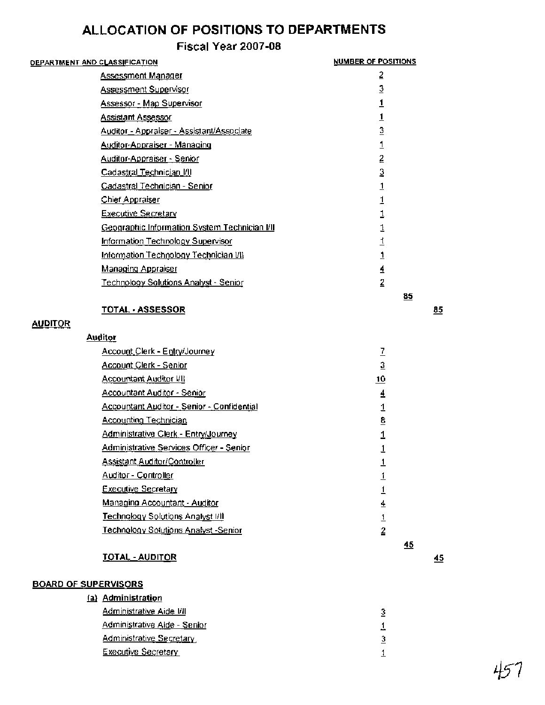## **Fiscal Year 2007-08**

| <u> DEPARTMENT AND CLASSIFICATION</u>         | <b>NUMBER OF POSITIONS</b> |
|-----------------------------------------------|----------------------------|
| Assessment Manager                            | 2                          |
| <u>Assessment Supervisor</u>                  | 3                          |
| <u> Assessor - Map Supervisor</u>             | 1                          |
| Assistant Assessor                            | <u>1</u>                   |
| Auditor - Appraiser - Assistant/Associate     | $\overline{3}$             |
| <u> Auditor-Appraiser - Managing</u>          |                            |
| <u> Auditor-Appraiser - Senior</u>            | $\overline{2}$             |
| Cadastral Technician I/II                     | 3                          |
| Cadastral Technician - Senior                 | 1                          |
| <b>Chief Appraiser</b>                        |                            |
| <b>Executive Secretary</b>                    |                            |
| Geographic Information System Technician I/II |                            |
| Information Technology Supervisor             |                            |
| Information Technology Technician VII         |                            |
| Managing Appraiser                            | 4                          |
| <u>Technology Solutions Analyst - Senior</u>  | $\overline{2}$             |
|                                               | 85                         |
| <b>TOTAL - ASSESSOR</b>                       |                            |

### **AUDITOR**

- **85** 

 $45$ 

| Auditor |
|---------|
|---------|

| Account_Clerk - Entry/Journey                     |    |
|---------------------------------------------------|----|
| <u> Account Clerk - Senior</u>                    | з  |
| <u>Accountant Auditor I/II</u>                    | 10 |
| Accountant Auditor - Senior                       | 4  |
| <b>Accountant Auditor - Senior - Confidential</b> |    |
| <b>Accounting Technician</b>                      | 8  |
| Administrative Clerk - Entry/Journey              |    |
| Administrative Services Officer - Senior          |    |
| <u>Assistant Auditor/Controller</u>               |    |
| Auditor - Controller                              |    |
| <b>Executive Secretary</b>                        |    |
| Managing Accountant - Auditor                     | 4  |
| Technology Solutions Analyst I/II                 |    |
| Technology Solutions Analyst -Senior              | 2  |
|                                                   | 45 |

#### **TOTAL** - **AUDITOR**

#### **BOARD OF SUPERVISORS**

| ,,, ,,,,,,,,,,                  |   |
|---------------------------------|---|
| (a) Administration              |   |
| Administrative Aide I/II        | з |
| Administrative Aide - Senior    |   |
| <b>Administrative Secretary</b> | з |
| <b>Executive Secretary</b>      |   |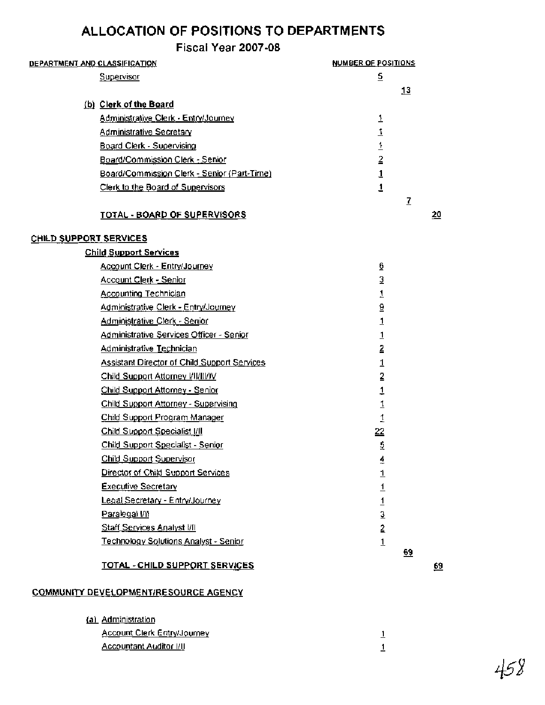#### **Fiscal Year 2007-08**

| DEPARTMENT AND CLASSIFICATION               | <b>NUMBER OF POSITIONS</b> |
|---------------------------------------------|----------------------------|
| Supervisor                                  | 5                          |
|                                             | <u>13</u>                  |
| (b) Clerk of the Board                      |                            |
| Administrative Clerk - Entry/Journey        |                            |
| <b>Administrative Secretary</b>             | 1                          |
| <b>Board Clerk - Supervising</b>            |                            |
| Board/Commission Clerk - Senior             | 2                          |
| Board/Commission Clerk - Senior (Part-Time) |                            |
| Clerk to the Board of Supervisors           |                            |
|                                             | 7                          |
| TOTAL - BOARD OF SUPERVISORS                | <u> 20</u>                 |

#### CHILD SUPPORT SERVICES

#### Child Support Services Account Clerk - Entry/Journey  $6 \overline{6}$ Account Clerk - Senior 3 Accountina Technician  $\mathbf{1}$ Administrative Clerk - Entrv/Journev 9 Administrative Clerk - Senior  $\mathbf{1}$ Administrative Services Officer - Senior  $\overline{1}$ Administrative Technician  $\overline{2}$ Assistant Director of Child Support Services  $\mathbf{1}$ Child Support Attorney VIVIII/IV  $\overline{2}$ Child Support Attorney - Senior  $\overline{1}$ Child Support Attorney - Supervising  $\mathbf{1}$ Child Support Program Manager  $\mathbf{1}$ Child Support Specialist I/II 22 Child Support Specialist - Senior  $\overline{2}$ Child Support Supervisor  $\overline{4}$ Director of Child Support Services  $\mathbf{1}$ Executive Secretary  $\overline{1}$ Legal Secretary - Entry/Journey  $\mathbf{1}$ Paralegal VII  $\overline{3}$ Staff Services Analyst VII  $\overline{2}$ Technoloav Solutions Analyst - Senior  $\mathbf{1}$

#### TOTAL - CHILD SUPPORT SERVICES

69

69

#### COMMUNITY DEVELOPMENTIRESOURCE AGENCY

(a) Administration

| <u> Account Clerk Entry/Journey</u> |  |
|-------------------------------------|--|
| <u> Accountant Auditor I/II</u>     |  |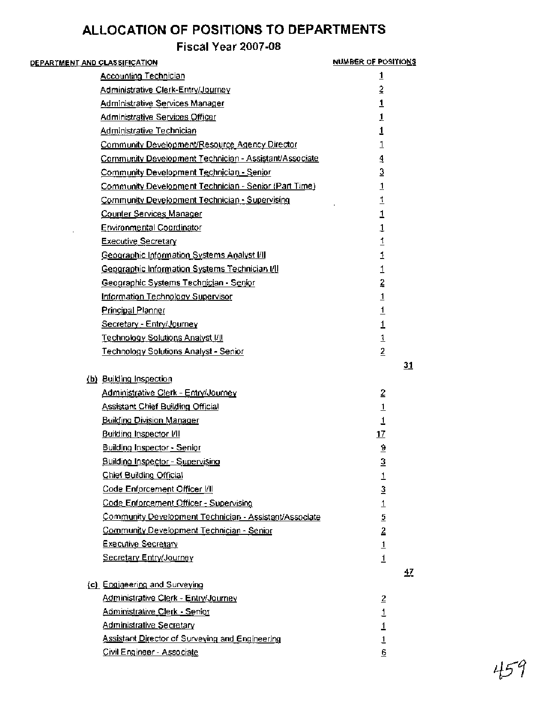| <u>DEPARTMENT AND CLASSIFICATION</u>                   | NUMBER OF POSITIONS |
|--------------------------------------------------------|---------------------|
| <b>Accounting Technician</b>                           | $\overline{1}$      |
| Administrative Clerk-Entry/Journey                     | $\bar{2}$           |
| <b>Administrative Services Manager</b>                 | $\overline{1}$      |
| Administrative Services Officer                        | 1                   |
| <b>Administrative Technician</b>                       | 1                   |
| Community Development/Resource Agency Director         | $\mathbf{1}$        |
| Community Development Technician - Assistant/Associate | 4                   |
| Community Development Technician - Senior              | $\overline{3}$      |
| Community Development Technician - Senior (Part Time)  | $\overline{1}$      |
| Community Development Technician - Supervising         | 1                   |
| Counter Services Manager                               | 1                   |
| <b>Environmental Coordinator</b>                       | $\overline{1}$      |
| Executive Secretary                                    | $\overline{1}$      |
| Geographic Information Systems Analyst I/II            | $\overline{1}$      |
| Geographic Information Systems Technician [/]          | 1                   |
| Geographic Systems Technician - Senior                 | $\overline{z}$      |
| Information Technology Supervisor                      | $\overline{1}$      |
| <b>Principal Planner</b>                               | $\overline{1}$      |
| Secretary - Entry/Journey                              | $\overline{1}$      |
| Technology Solutions Analyst I/II                      | 1                   |
| Technology Solutions Analyst - Senior                  | $\overline{2}$      |
|                                                        | 31                  |
| (b) Building Inspection                                |                     |
| Administrative Clerk - Entry/Journey                   | $\overline{2}$      |
| <b>Assistant Chief Building Official</b>               | $\overline{1}$      |
| <b>Building Division Manager</b>                       | $\overline{1}$      |
| <b>Building Inspector VII</b>                          | 17                  |
| Building Inspector - Senior                            | $\overline{6}$      |
| <b>Building Inspector - Supervising</b>                | $\overline{3}$      |
| <b>Chief Building Official</b>                         | 1                   |
| Code Enforcement Officer I/II                          | 3                   |
| Code Enforcement Officer - Supervising                 | $\perp$             |
| Community Development Technician - Assistant/Associate | $\overline{2}$      |
| Community Development Technician - Senior              | 2                   |
| <b>Executive Secretary</b>                             | $\overline{1}$      |
| Secretary Entry/Journey                                | $\overline{1}$      |
|                                                        | <u>47</u>           |
| (c) Engineering and Surveying                          |                     |
| <u> Administrative Clerk - Entry/Journey</u>           | $\overline{2}$      |
| Administrative Clerk - Senior                          | 1                   |
| <u> Administrative Secretary</u>                       | 1                   |
| Assistant Director of Surveying and Engineering        | 1                   |
| Civil Engineer - Associate                             | 6                   |

45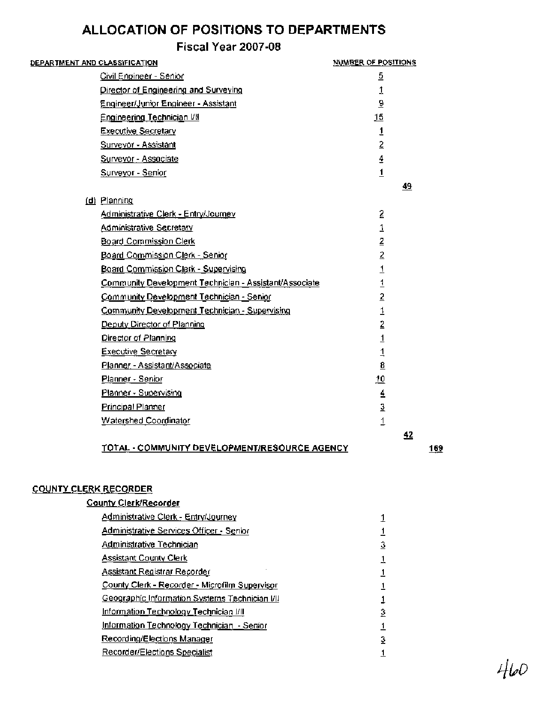# **Fiscal Year 2007-08**

| <u>DEPARTMENT AND CLASSIFICATION</u>                   | <u>NUMBER OF POSITIONS</u>                                                                              |
|--------------------------------------------------------|---------------------------------------------------------------------------------------------------------|
| Civil Engineer - Senior                                | 5                                                                                                       |
| Director of Engineering and Surveying                  | 1                                                                                                       |
| Engineer/Junior Engineer - Assistant                   | $\underline{9}$                                                                                         |
| <b>Engineering Technician I/II</b>                     | 15                                                                                                      |
| <b>Executive Secretary</b>                             | 1                                                                                                       |
| <b>Surveyor - Assistant</b>                            | $\overline{2}$                                                                                          |
| Surveyor - Associate                                   | $\overline{4}$                                                                                          |
| Surveyor - Senior                                      | $\overline{1}$                                                                                          |
|                                                        | 49                                                                                                      |
| (d) Planning                                           |                                                                                                         |
| Administrative Clerk - Entry/Journey                   | 2                                                                                                       |
| Administrative Secretary                               | 1                                                                                                       |
| Board Commission Clerk                                 | $\overline{2}$                                                                                          |
| Board Commission Clerk - Senior                        | $\overline{2}$                                                                                          |
| Board Commission Clerk - Supervising                   | $\overline{1}$                                                                                          |
| Community Development Technician - Assistant/Associate | $\overline{1}$                                                                                          |
| Community Development Technician - Senior              | $\overline{2}$                                                                                          |
| Community Development Technician - Supervising         | 1                                                                                                       |
| Deputy Director of Planning                            | $\overline{2}$                                                                                          |
| Director of Planning                                   | $\overline{1}$                                                                                          |
| <b>Executive Secretary</b>                             | $\overline{1}$                                                                                          |
| Planner - Assistant/Associate                          | $\underline{\mathbf{8}}$                                                                                |
| Planner - Senior                                       | <u>10</u>                                                                                               |
| Planner - Supervising                                  | $\overline{4}$                                                                                          |
| <b>Principal Planner</b>                               | $\mathfrak{I}% _{T}=\mathfrak{I}_{T}\!\left( a,b\right) ,\ \mathfrak{I}_{T}=C_{T}\!\left( a,b\right) ,$ |
| Watershed Coordinator                                  | 1                                                                                                       |
|                                                        | 42                                                                                                      |
| TOTAL - COMMUNITY DEVELOPMENT/RESOURCE AGENCY          | 169                                                                                                     |
|                                                        |                                                                                                         |

#### **COUNTY CLERK RECORDER**

## **Countv ClerklRecorder**

| Administrative Clerk - Entry/Journey           |   |
|------------------------------------------------|---|
| Administrative Services Officer - Senior       |   |
| Administrative Technician                      | 3 |
| <b>Assistant County Clerk</b>                  |   |
| <u>Assistant Registrar Recorder</u>            |   |
| County Clerk - Recorder - Microfilm Supervisor |   |
| Geographic Information Systems Technician I/II |   |
| Information Technology Technician I/II         | 3 |
| Information Technology Technician - Senior     |   |
| Recording/Elections Manager                    | 3 |
| <b>Recorder/Elections Specialist</b>           |   |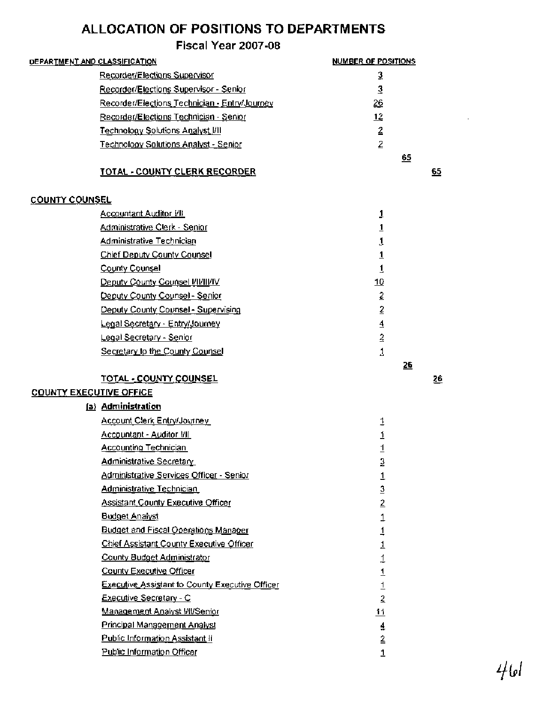|                                | DEPARTMENT AND CLASSIFICATION                                                        | NUMBER OF POSITIONS              |    |
|--------------------------------|--------------------------------------------------------------------------------------|----------------------------------|----|
|                                | Recorder/Elections Supervisor                                                        | 3                                |    |
|                                | Recorder/Elections Supervisor - Senior                                               | $\mathbf 3$                      |    |
|                                | Recorder/Elections Technician - Entry/Journey                                        | $\frac{26}{5}$                   |    |
|                                | Recorder/Elections Technician - Senior                                               | 12                               |    |
|                                | <b>Technology Solutions Analyst VII</b>                                              | $\overline{2}$                   |    |
|                                | <b>Technology Solutions Analyst - Senior</b>                                         | $\bar{z}$                        |    |
|                                |                                                                                      | 65                               |    |
|                                | <b>TOTAL - COUNTY CLERK RECORDER</b>                                                 |                                  | 65 |
| <b>COUNTY COUNSEL</b>          |                                                                                      |                                  |    |
|                                | Accountant Auditor VII                                                               | 1                                |    |
|                                | Administrative Clerk - Senior                                                        | $\overline{1}$                   |    |
|                                | <b>Administrative Technician</b>                                                     | 1                                |    |
|                                | Chief Deputy County Counsel                                                          | $\overline{1}$                   |    |
|                                | County Counsel                                                                       | 1                                |    |
|                                | Deputy County Counsel VII/III/IV                                                     | 10                               |    |
|                                | Deputy County Counsel - Senior                                                       | $\overline{2}$                   |    |
|                                | Deputy County Counsel - Supervising                                                  | $\bar{2}$                        |    |
|                                | Legal Secretary - Entry/Journey                                                      | $\overline{4}$                   |    |
|                                | Legal Secretary - Senior                                                             | $\overline{2}$                   |    |
|                                | Secretary to the County Counsel                                                      | 1                                |    |
|                                |                                                                                      |                                  |    |
|                                |                                                                                      | 26                               |    |
|                                | TOTAL - COUNTY COUNSEL                                                               |                                  | 26 |
| <b>COUNTY EXECUTIVE OFFICE</b> |                                                                                      |                                  |    |
|                                | (a) Administration                                                                   |                                  |    |
|                                |                                                                                      |                                  |    |
|                                | Account Clerk Entry/Journey                                                          | 1                                |    |
|                                | Accountant - Auditor I/II<br><u>Accounting Technician</u>                            | $\overline{1}$                   |    |
|                                |                                                                                      | $\overline{1}$                   |    |
|                                | <b>Administrative Secretary</b>                                                      | 3                                |    |
|                                | <u> Administrative Services Officer - Senior</u><br><b>Administrative Technician</b> | 1                                |    |
|                                | <b>Assistant County Executive Officer</b>                                            | 3                                |    |
|                                |                                                                                      | $\overline{2}$                   |    |
|                                | <b>Budget Analyst</b><br><b>Budget and Fiscal Operations Manager</b>                 | $\overline{1}$                   |    |
|                                |                                                                                      | 1                                |    |
|                                | Chief Assistant County Executive Officer                                             | 1                                |    |
|                                | County Budget Administrator<br>County Executive Officer                              | 1                                |    |
|                                | <b>Executive Assistant to County Executive Officer</b>                               | $\overline{1}$                   |    |
|                                | Executive Secretary - C                                                              | $\overline{1}$                   |    |
|                                | Management Analyst WI/Senior                                                         | $\overline{2}$                   |    |
|                                | <b>Principal Management Analyst</b>                                                  | <u>11</u>                        |    |
|                                | <b>Public Information Assistant II</b>                                               | $\overline{4}$<br>$\overline{2}$ |    |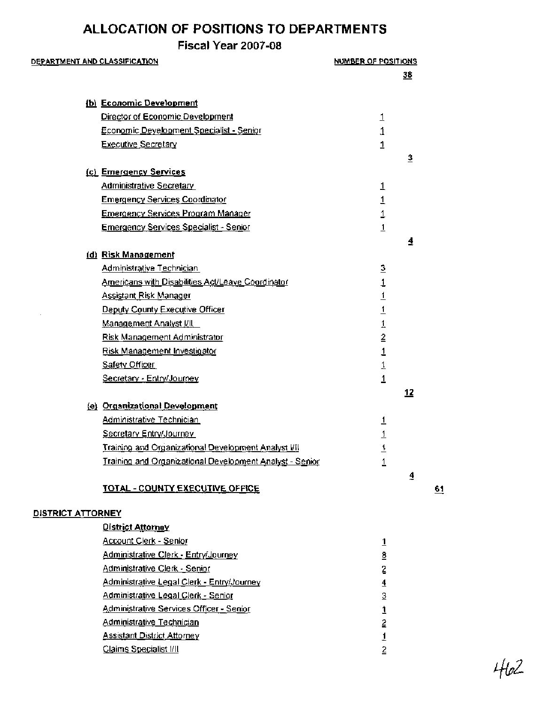## **Fiscal Year 2007-08**

#### **DEPARTMENT AND CLASSIFICATION**

| DEPARTMENT AND CLASSIFICATION |                                                          | NUMBER OF POSITIONS     |                         |
|-------------------------------|----------------------------------------------------------|-------------------------|-------------------------|
|                               |                                                          |                         | <u>38</u>               |
|                               |                                                          |                         |                         |
|                               | (b) Economic Development                                 |                         |                         |
|                               | Director of Economic Development                         | <u>1</u>                |                         |
|                               | <u> Economic Development Specialist - Senior</u>         | 1                       |                         |
|                               | <b>Executive Secretary</b>                               | $\mathbf{1}$            |                         |
|                               | (c) Emergency Services                                   |                         | $\overline{\mathbf{3}}$ |
|                               | Administrative Secretary                                 | 1                       |                         |
|                               | <b>Emergency Services Coordinator</b>                    | 1                       |                         |
|                               | <u>Emergency Services Program Manager</u>                | $\overline{1}$          |                         |
|                               | <u> Emergency Services Specialist - Senior</u>           | $\overline{1}$          |                         |
|                               |                                                          |                         | 4                       |
|                               | (d) Risk Management                                      |                         |                         |
|                               | Administrative Technician                                | $\overline{3}$          |                         |
|                               | <b>Americans with Disabilities Act/Leave Coordinator</b> | $\mathbf{1}$            |                         |
|                               | <b>Assistant Risk Manager</b>                            | $\overline{1}$          |                         |
|                               | Deputy County Executive Officer                          | $\overline{1}$          |                         |
|                               | <u>Management Analyst I/II.</u>                          | $\overline{1}$          |                         |
|                               | Risk Management Administrator                            | $\overline{2}$          |                         |
|                               | <u>Risk Management Investigator</u>                      | $\overline{\mathbf{1}}$ |                         |
|                               | <b>Safety Officer</b>                                    | $\overline{1}$          |                         |
|                               | Secretary - Entry/Journey                                | $\overline{1}$          |                         |
|                               |                                                          |                         | <u> 12</u>              |
|                               | (e) Organizational Development                           |                         |                         |
|                               | Administrative Technician                                | $\overline{1}$          |                         |
|                               | Secretary Entry/Journey                                  | $\overline{1}$          |                         |
|                               | Training and Organizational Development Analyst VII      | <u>1</u>                |                         |
|                               | Training and Organizational Development Analyst - Senior | 1                       |                         |
|                               |                                                          |                         | 4                       |
|                               | <b>TOTAL - COUNTY EXECUTIVE OFFICE</b>                   |                         |                         |
| <b>DISTRICT ATTORNEY</b>      |                                                          |                         |                         |
|                               | <b>District Attorney</b>                                 |                         |                         |
|                               | Account Clerk - Senior                                   | $\overline{1}$          |                         |
|                               | Administrative Clerk - Entry/Journey                     | 8                       |                         |
|                               | Administrative Clerk - Senior                            | $\overline{2}$          |                         |
|                               | Administrative Legal Clerk - Entry/Journey               | $\overline{4}$          |                         |
|                               | Administrative Legal Clerk - Senior                      | 3                       |                         |
|                               | Administrative Services Officer - Senior                 | 1                       |                         |
|                               | <b>Administrative Technician</b>                         | $\overline{2}$          |                         |
|                               | <b>Assistant District Attorney</b>                       | 1                       |                         |
|                               | Claims Specialist I/II                                   | $\overline{2}$          |                         |

 $61$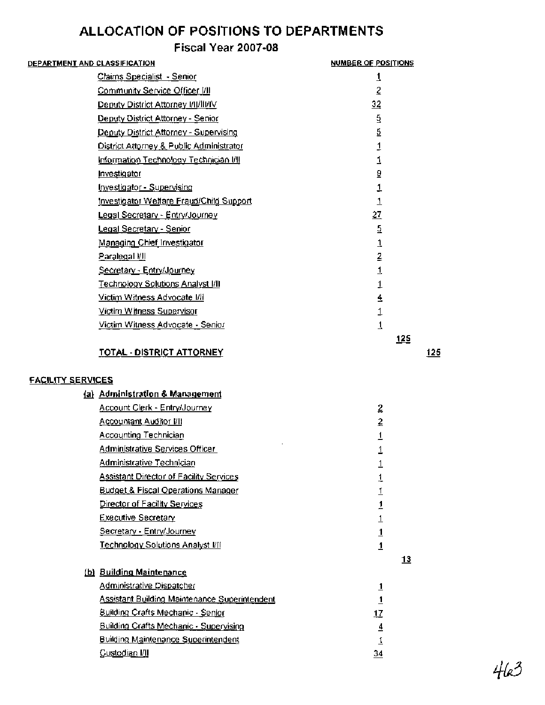## **Fiscal Year 2007-08**

| DE <u>PARTMENT AND CLASSIFICATION</u>     | <b>NUMBER OF POSITIONS</b> |
|-------------------------------------------|----------------------------|
| Claims Specialist - Senior                | 1                          |
| <u>Community Service Officer [/]]</u>     | $\overline{2}$             |
| Deputy District Attorney I/II/III/IV      | $\overline{32}$            |
| Deputy District Attorney - Senior         | 5                          |
| Deputy District Attorney - Supervising    | 5                          |
| District Attorney & Public Administrator  | 1                          |
| Information Technology Technician I/II    | 1                          |
| Investigator                              | $\overline{5}$             |
| Investigator - Supervising                | 1                          |
| Investigator Welfare Fraud/Child Support  | $\overline{1}$             |
| Legal Secretary - Entry/Journey           | 27                         |
| Legal Secretary - Senior                  | 5                          |
| Managing Chief Investigator               | 1                          |
| Paralegal I/I                             | $\overline{2}$             |
| Secretary - Entry/Journey                 | 1                          |
| <u> Technology Solutions Analyst I/II</u> |                            |
| Victim Witness Advocate I/II              | 4                          |
| Victim Witness Supervisor                 |                            |
| Victim Witness Advocate - Senior          | 1                          |
|                                           | <u>125</u>                 |
| <u>TOTAL - DISTRICT ATTORNEY</u>          | 125                        |
|                                           |                            |

#### **FACILITY SERVICES**

#### **Administration** & **Mananernent**

| Account Clerk - Entry/Journey                  | $\overline{2}$ |           |
|------------------------------------------------|----------------|-----------|
| <u>Accountant Auditor I/II</u>                 | 2              |           |
| <b>Accounting Technician</b>                   | <u>1</u>       |           |
| Administrative Services Officer                | 1              |           |
| Administrative Technician                      | 1              |           |
| <b>Assistant Director of Facility Services</b> | 1              |           |
| <b>Budget &amp; Fiscal Operations Manager</b>  | <u> 1</u>      |           |
| Director of Facility Services                  | 1              |           |
| <b>Executive Secretary</b>                     | 1              |           |
| Secretary - Entry/Journey                      | $\overline{1}$ |           |
| <u> Technology Solutions Analyst I/II</u>      | <u>1</u>       |           |
|                                                |                | <u>13</u> |
| (b) Building Maintenance                       |                |           |
| <u>Administrative Dispatcher</u>               | $\overline{1}$ |           |
| Assistant Building Maintenance Superintendent  | <u>1</u>       |           |
| <b>Building Crafts Mechanic - Senior</b>       | 17             |           |
| Building Crafts Mechanic - Supervising         | ₹              |           |
| <b>Building Maintenance Superintendent</b>     |                |           |
| Custodian I/II                                 | 34             |           |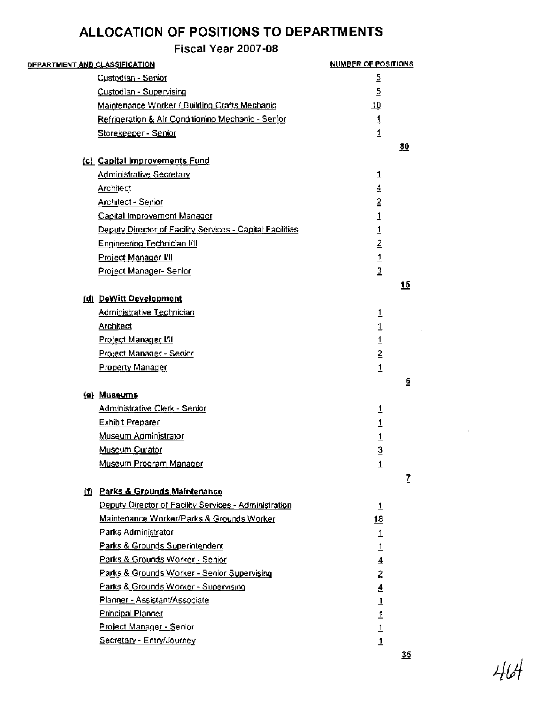| <u>DEPARTMENT AND CLASSIFICATION</u> |                                                           | <b>NUMBER OF POSITIONS</b> |           |
|--------------------------------------|-----------------------------------------------------------|----------------------------|-----------|
|                                      | Custodian - Senior                                        | $\overline{5}$             |           |
|                                      | Custodian - Supervising                                   | 5                          |           |
|                                      | Maintenance Worker / Building Crafts Mechanic             | <u>10</u>                  |           |
|                                      | Refrigeration & Air Conditioning Mechanic - Senior        | $\overline{1}$             |           |
|                                      | Storekeeper - Senior                                      | $\overline{1}$             |           |
|                                      |                                                           |                            | <u>80</u> |
|                                      | (c) Capital Improvements Fund                             |                            |           |
|                                      | Administrative Secretary                                  | $\overline{1}$             |           |
|                                      | <b>Architect</b>                                          | $\overline{4}$             |           |
|                                      | Architect - Senior                                        | $\overline{2}$             |           |
|                                      | Capital Improvement Manager                               | 1                          |           |
|                                      | Deputy Director of Facility Services - Capital Facilities | $\overline{1}$             |           |
|                                      | Engineering Technician I/I                                | $\bar{2}$                  |           |
|                                      | Project Manager VII                                       | $\frac{1}{3}$              |           |
|                                      | Project Manager-Senior                                    |                            |           |
|                                      |                                                           |                            | 15        |
|                                      | (d) DeWitt Development                                    |                            |           |
|                                      | Administrative Technician                                 | $\overline{1}$             |           |
|                                      | <b>Architect</b>                                          | $\overline{1}$             |           |
|                                      | Project Manager I/II                                      | $\overline{1}$             |           |
|                                      | Project Manager - Senior                                  | $\overline{2}$             |           |
|                                      | <b>Property Manager</b>                                   | $\overline{1}$             |           |
|                                      | (e) Museums                                               |                            | ₫.,       |
|                                      | Administrative Clerk - Senior                             |                            |           |
|                                      | <b>Exhibit Preparer</b>                                   | <u>1</u><br>1              |           |
|                                      | Museum Administrator                                      | $\overline{1}$             |           |
|                                      | Museum Curator                                            | 3                          |           |
|                                      | Museum Program Manager                                    |                            |           |
|                                      |                                                           | 1                          | Z         |
|                                      | (f) Parks & Grounds Maintenance                           |                            |           |
|                                      | Deputy Director of Facility Services - Administration     | <u>1</u>                   |           |
|                                      | Maintenance Worker/Parks & Grounds Worker                 | <u>18</u>                  |           |
|                                      | Parks Administrator                                       | $\overline{1}$             |           |
|                                      | Parks & Grounds Superintendent                            | $\overline{1}$             |           |
|                                      | Parks & Grounds Worker - Senior                           | $\overline{4}$             |           |
|                                      | Parks & Grounds Worker - Senior Supervising               | 2                          |           |
|                                      | Parks & Grounds Worker - Supervising                      | $\overline{\mathbf{4}}$    |           |
|                                      | Planner - Assistant/Associate                             | $\overline{1}$             |           |
|                                      | Principal Planner                                         | 1                          |           |
|                                      | Project Manager - Senior                                  | $\overline{1}$             |           |
|                                      | Secretary - Entry/Journey                                 | 1                          |           |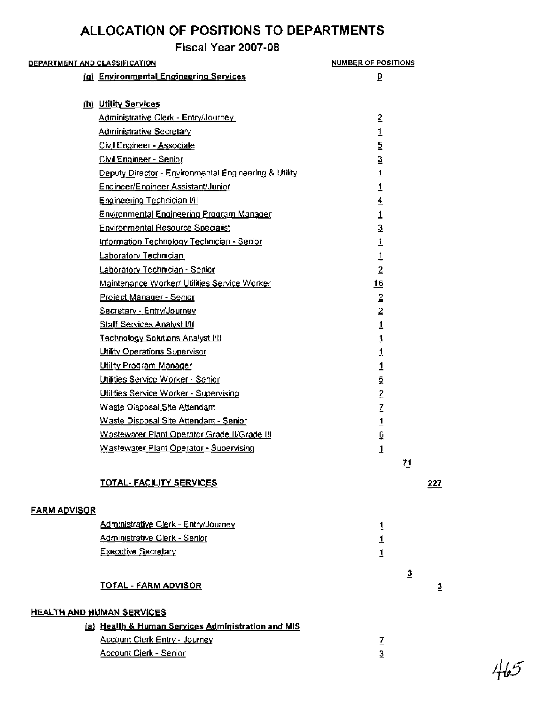**Fiscal Year 2007-08** 

| <b>DEPARTMENT AND CLASSIFICATION</b> |                                                       | <b>NUMBER OF POSITIONS</b> |                |
|--------------------------------------|-------------------------------------------------------|----------------------------|----------------|
|                                      | (g) Environmental Engineering Services                | ō                          |                |
|                                      | (h) Utility Services                                  |                            |                |
|                                      | Administrative Clerk - Entry/Journey                  | $\overline{2}$             |                |
|                                      | Administrative Secretary                              | 1                          |                |
|                                      | Civil Engineer - Associate                            | 5                          |                |
|                                      | Civil Engineer - Senior                               | 3                          |                |
|                                      | Deputy Director - Environmental Engineering & Utility | $\overline{1}$             |                |
|                                      | Engineer/Engineer Assistant/Junior                    | 1                          |                |
|                                      | Engineering Technician I/II                           | 4                          |                |
|                                      | <b>Environmental Engineering Program Manager</b>      | 1                          |                |
|                                      | <b>Environmental Resource Specialist</b>              | 3                          |                |
|                                      | Information Technology Technician - Senior            | $\overline{1}$             |                |
|                                      | Laboratory Technician                                 | 1                          |                |
|                                      | Laboratory Technician - Senior                        | $\overline{2}$             |                |
|                                      | Maintenance Worker/ Utilities Service Worker          | <u>16</u>                  |                |
|                                      | Project Manager - Senior                              | $\overline{2}$             |                |
|                                      | Secretary - Entry/Journey                             | $\overline{2}$             |                |
|                                      | <b>Staff Services Analyst I/II</b>                    | $\overline{1}$             |                |
|                                      | <b>Technology Solutions Analyst I/II</b>              | $\overline{1}$             |                |
|                                      | Utility Operations Supervisor                         | 1                          |                |
|                                      | Utility Program Manager                               | $\overline{1}$             |                |
|                                      | Utilities Service Worker - Senior                     | $\overline{2}$             |                |
|                                      | Utilities Service Worker - Supervising                | <u>2</u>                   |                |
|                                      | Waste Disposal Site Attendant                         | Z                          |                |
|                                      | Waste Disposal Site Attendant - Senior                | $\overline{1}$             |                |
|                                      | Wastewater Plant Operator Grade II/Grade III          | ē                          |                |
|                                      | Wastewater Plant Operator - Supervising               | $\overline{1}$             |                |
|                                      |                                                       | <u>71</u>                  |                |
|                                      | TOTAL-FACILITY SERVICES                               |                            | 227            |
|                                      |                                                       |                            |                |
| <b>FARM ADVISOR</b>                  |                                                       |                            |                |
|                                      | Administrative Clerk - Entry/Journey                  | 1                          |                |
|                                      | Administrative Clerk - Senior                         | $\frac{1}{1}$              |                |
|                                      | <b>Executive Secretary</b>                            |                            |                |
|                                      |                                                       | 3                          |                |
|                                      | <b>TOTAL - FARM ADVISOR</b>                           |                            | $\overline{3}$ |
|                                      | <b>HEALTH AND HUMAN SERVICES</b>                      |                            |                |
|                                      | (a) Health & Human Services Administration and MIS    |                            |                |
|                                      | Account Clerk Entry - Journey                         | Z                          |                |
|                                      | Account Clerk - Senior                                | 3                          |                |
|                                      |                                                       |                            |                |

 $465$ 

 $\overline{3}$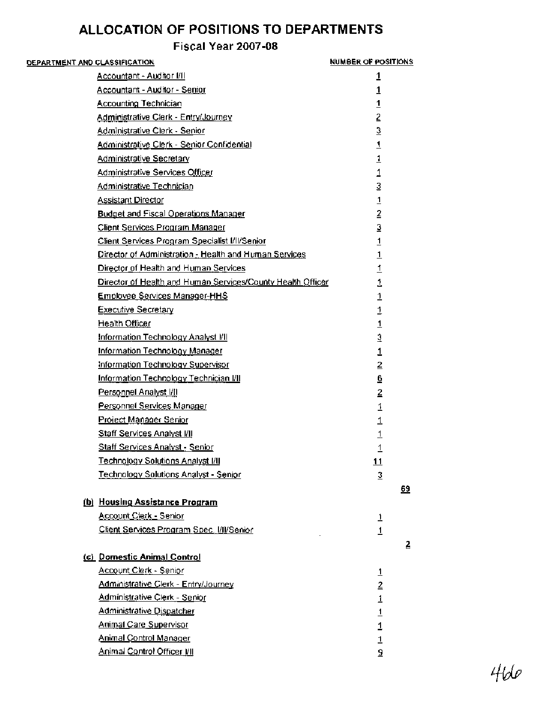| <u>DEPARTMENT AND CLASSIFICATION</u> |                                                             | NUMBER OF POSITIONS |    |
|--------------------------------------|-------------------------------------------------------------|---------------------|----|
|                                      | Accountant - Auditor I/II                                   | 1                   |    |
|                                      | Accountant - Auditor - Senior                               | 1                   |    |
|                                      | <b>Accounting Technician</b>                                | $\overline{1}$      |    |
|                                      | Administrative Clerk - Entry/Journey                        | $\overline{2}$      |    |
|                                      | Administrative Clerk - Senior                               | 3                   |    |
|                                      | Administrative Clerk - Senior Confidential                  | $\overline{1}$      |    |
|                                      | <b>Administrative Secretary</b>                             | $\frac{1}{1}$       |    |
|                                      | <b>Administrative Services Officer</b>                      |                     |    |
|                                      | Administrative Technician                                   | $\overline{3}$      |    |
|                                      | <b>Assistant Director</b>                                   | $\overline{1}$      |    |
|                                      | <b>Budget and Fiscal Operations Manager</b>                 | $\overline{2}$      |    |
|                                      | Client Services Program Manager                             | 3                   |    |
|                                      | Client Services Program Specialist I/II/Senior              | $\overline{1}$      |    |
|                                      | Director of Administration - Health and Human Services      | $\overline{1}$      |    |
|                                      | Director of Health and Human Services                       | $\overline{1}$      |    |
|                                      | Director of Health and Human Services/County Health Officer | 1                   |    |
|                                      | <b>Employee Services Manager-HHS</b>                        | 1                   |    |
|                                      | <b>Executive Secretary</b>                                  | 1                   |    |
|                                      | Health Officer                                              | 1                   |    |
|                                      | Information Technology Analyst VII                          | 3                   |    |
|                                      | Information Technology Manager                              | 1                   |    |
|                                      | Information Technology Supervisor                           | $\overline{2}$      |    |
|                                      | Information Technology Technician I/II                      | 6                   |    |
|                                      | Personnel Analyst I/II                                      | 2                   |    |
|                                      | Personnel Services Manager                                  | $\overline{1}$      |    |
|                                      | Project Manager Senior                                      | $\overline{1}$      |    |
|                                      | <b>Staff Services Analyst I/II</b>                          | $\overline{1}$      |    |
|                                      | <b>Staff Services Analyst - Senior</b>                      | 1                   |    |
|                                      | <b>Technology Solutions Analyst I/II</b>                    | <u>11</u>           |    |
|                                      | Technology Solutions Analyst - Senior                       | $\overline{3}$      |    |
|                                      |                                                             |                     | 69 |
|                                      | (b) Housing Assistance Program                              |                     |    |
|                                      | <b>Account Clerk - Senior</b>                               | <u>1</u>            |    |
|                                      | Client Services Program Spec, VII/Senior                    | $\overline{1}$      |    |
|                                      |                                                             |                     | 2  |
|                                      | (c) Domestic Animal Control                                 |                     |    |
|                                      | Account Clerk - Senior                                      | $\overline{1}$      |    |
|                                      | Administrative Clerk - Entry/Journey                        | $\overline{2}$      |    |
|                                      | <b>Administrative Clerk - Senior</b>                        | $\mathbf{1}$        |    |
|                                      | Administrative Dispatcher                                   | $\overline{1}$      |    |
|                                      | <b>Animal Care Supervisor</b>                               | $\overline{1}$      |    |
|                                      | <b>Animal Control Manager</b>                               | $\overline{1}$      |    |
|                                      | <b>Animal Control Officer I/II</b>                          | 5                   |    |
|                                      |                                                             |                     |    |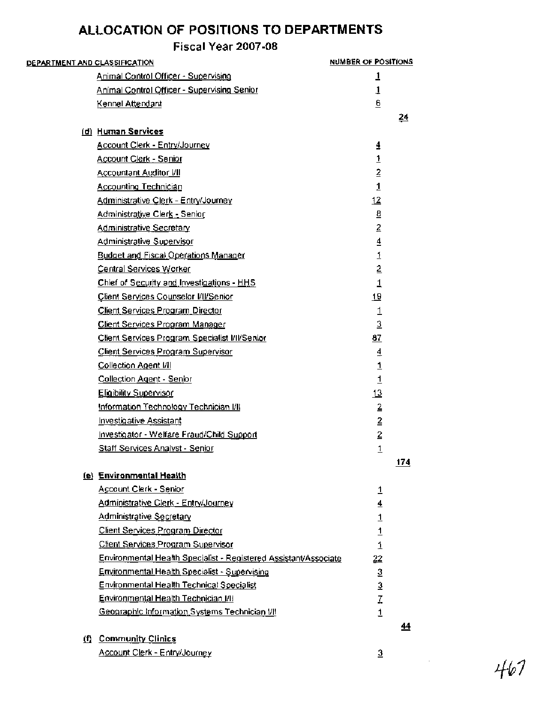## **Fiscal Year 2007-08**

| D <u>EPARTMENT AND CLASSIFICATION</u> |                                                                  | <b>NUMBER OF POSITIONS</b> |                 |
|---------------------------------------|------------------------------------------------------------------|----------------------------|-----------------|
|                                       | Animal Control Officer - Supervising                             | 1                          |                 |
|                                       | Animal Control Officer - Supervising Senior                      | 1                          |                 |
|                                       | Kennel Attendant                                                 | 6                          |                 |
|                                       |                                                                  |                            | $\overline{24}$ |
|                                       | (d) Human Services                                               |                            |                 |
|                                       | <b>Account Clerk - Entry/Journey</b>                             | 4                          |                 |
|                                       | Account Clerk - Senior                                           | $\overline{1}$             |                 |
|                                       | <b>Accountant Auditor VII</b>                                    | $\overline{2}$             |                 |
|                                       | <b>Accounting Technician</b>                                     | $\overline{1}$             |                 |
|                                       | Administrative Clerk - Entry/Journey                             | 12                         |                 |
|                                       | Administrative Clerk - Senior                                    | $\underline{\mathbf{8}}$   |                 |
|                                       | Administrative Secretary                                         | $\overline{2}$             |                 |
|                                       | Administrative Supervisor                                        | $\overline{4}$             |                 |
|                                       | <b>Budget and Fiscal Operations Manager</b>                      | $\underline{\mathbf{1}}$   |                 |
|                                       | <b>Central Services Worker</b>                                   | $\overline{2}$             |                 |
|                                       | Chief of Security and Investigations - HHS                       | $\overline{1}$             |                 |
|                                       | Client Services Counselor I/II/Senior                            | 19                         |                 |
|                                       | <b>Client Services Program Director</b>                          | 1                          |                 |
|                                       | Client Services Program Manager                                  | $\overline{3}$             |                 |
|                                       | Client Services Program Specialist I/II/Senior                   | 87                         |                 |
|                                       | Client Services Program Supervisor                               | $\overline{4}$             |                 |
|                                       | Collection Agent [/]                                             | $\mathbf{1}$               |                 |
|                                       | <b>Collection Agent - Senior</b>                                 | $\overline{1}$             |                 |
|                                       | Eligibility Supervisor                                           | 13                         |                 |
|                                       | Information Technology Technician I/II                           | $\overline{2}$             |                 |
|                                       | <b>Investigative Assistant</b>                                   | $\overline{2}$             |                 |
|                                       | <u> Investigator - Welfare Fraud/Child Support</u>               | $\overline{2}$             |                 |
|                                       | <b>Staff Services Analyst - Senior</b>                           | $\overline{1}$             |                 |
|                                       |                                                                  |                            | 174             |
|                                       | (e) Environmental Health                                         |                            |                 |
|                                       | Account Clerk - Senior                                           | 1                          |                 |
|                                       | Administrative Clerk - Entry/Journey                             | $\overline{4}$             |                 |
|                                       | <b>Administrative Secretary</b>                                  |                            |                 |
|                                       | Client Services Program Director                                 | $\frac{1}{1}$              |                 |
|                                       | Client Services Program Supervisor                               | $\overline{1}$             |                 |
|                                       | Environmental Health Specialist - Registered Assistant/Associate | 22                         |                 |
|                                       | <b>Environmental Health Specialist - Supervising</b>             | $\mathfrak{Z}$             |                 |
|                                       | Environmental Health Technical Specialist                        | $\frac{3}{7}$              |                 |
|                                       | Environmental Health Technician I/H                              |                            |                 |
|                                       | Geographic Information Systems Technician I/II                   | $\overline{1}$             |                 |
|                                       |                                                                  |                            | 44              |
|                                       | (f) Community Clinics                                            |                            |                 |

Account Clerk - Entry/Journey - 3

 $\mathbb{R}^2$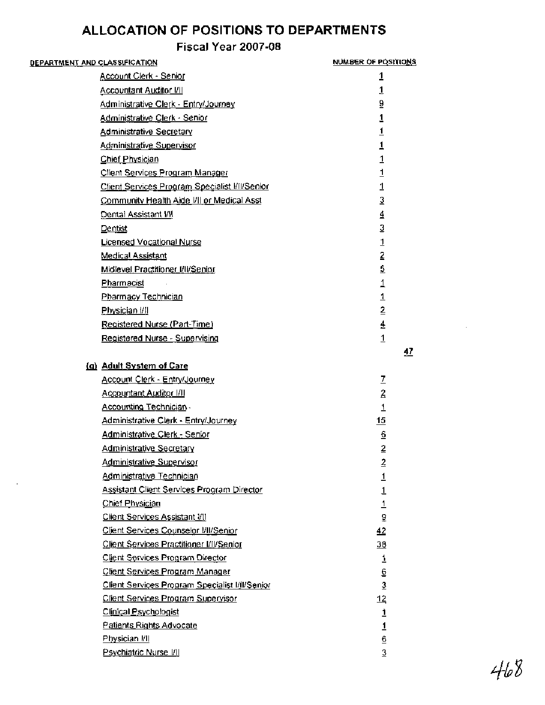| <u>DEPARTMENT AND CLASSIFICATION</u> |                                                   | NUMBER OF POSITIONS |  |
|--------------------------------------|---------------------------------------------------|---------------------|--|
|                                      | Account Clerk - Senior                            | 1                   |  |
|                                      | <b>Accountant Auditor I/II</b>                    | 1                   |  |
|                                      | Administrative Clerk - Entry/Journey              | 9                   |  |
|                                      | Administrative Clerk - Senior                     | 1                   |  |
|                                      | <b>Administrative Secretary</b>                   | $\overline{1}$      |  |
|                                      | Administrative Supervisor                         | $\overline{1}$      |  |
|                                      | <b>Chief Physician</b>                            | $\overline{1}$      |  |
|                                      | Client Services Program Manager                   | 1                   |  |
|                                      | Client Services Program Specialist I/II/Senior    | 1                   |  |
|                                      | Community Health Aide VII or Medical Asst         | $\overline{3}$      |  |
|                                      | Dental Assistant VII                              | 4                   |  |
| Dentist                              |                                                   | 3                   |  |
|                                      | Licensed Vocational Nurse                         | $\mathbf{1}$        |  |
|                                      | <b>Medical Assistant</b>                          | 2                   |  |
|                                      | Midlevel Practitioner I/II/Senior                 | $\overline{2}$      |  |
|                                      | Pharmacist                                        | $\overline{1}$      |  |
|                                      | Pharmacy Technician                               | $\overline{1}$      |  |
|                                      | Physician I/I                                     | $\overline{2}$      |  |
|                                      | Registered Nurse (Part-Time)                      | $\overline{4}$      |  |
|                                      | Registered Nurse - Supervising                    | $\overline{1}$      |  |
|                                      |                                                   | <u>47</u>           |  |
|                                      | (g) Adult System of Care                          |                     |  |
|                                      | Account Clerk - Entry/Journey                     | Z                   |  |
|                                      | Accountant Auditor I/II                           | $\overline{2}$      |  |
|                                      | Accounting Technician -                           | 1                   |  |
|                                      | Administrative Clerk - Entry/Journey              | 15                  |  |
|                                      | Administrative Clerk - Senior                     | $\overline{6}$      |  |
|                                      | <u>Administrative Secretary</u>                   | 2                   |  |
|                                      | Administrative Supervisor                         | $\overline{2}$      |  |
|                                      | Administrative Technician                         | $\overline{1}$      |  |
|                                      | <b>Assistant Client Services Program Director</b> | $\overline{1}$      |  |
|                                      | <b>Chief Physician</b>                            | $\overline{1}$      |  |
|                                      | <b>Client Services Assistant I/II</b>             | $\overline{\delta}$ |  |
|                                      | Client Services Counselor I/II/Senior             | 42                  |  |
|                                      | Client Services Practitioner I/II/Senior          | 38                  |  |
|                                      | Client Services Program Director                  | 1                   |  |
|                                      | Client Services Program Manager                   | 6                   |  |
|                                      | Client Services Program Specialist I/II/Senior    | $\overline{3}$      |  |
|                                      | <u>Client Services Program Supervisor</u>         | <u> 12</u>          |  |
|                                      | Clinical Psychologist                             | 1                   |  |
|                                      | Patients Rights Advocate                          | $\overline{1}$      |  |
|                                      | Physician I/I                                     | 6                   |  |
|                                      | <b>Psychiatric Nurse I/II</b>                     | 3                   |  |

 $468$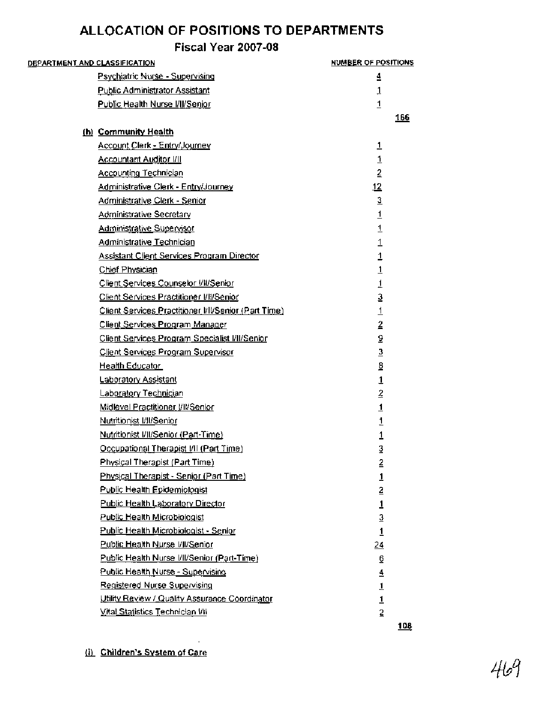| <b>DEPARTMENT AND CLASSIFICATION</b>                 | NUMBER OF POSITIONS     |
|------------------------------------------------------|-------------------------|
| Psychiatric Nurse - Supervising                      | 4                       |
| <b>Public Administrator Assistant</b>                | $\mathbf{1}$            |
| Public Health Nurse I/II/Senior                      | $\mathbf{1}$            |
|                                                      | <u>166</u>              |
| (b) Community Health                                 |                         |
| Account Clerk - Entry/Journey                        | $\overline{1}$          |
| <b>Accountant Auditor I/II</b>                       | $\mathbf{1}$            |
| <b>Accounting Technician</b>                         | $\overline{2}$          |
| Administrative Clerk - Entry/Journey                 | 12                      |
| Administrative Clerk - Senior                        | $\mathfrak{Z}$          |
| <b>Administrative Secretary</b>                      | $\overline{1}$          |
| <b>Administrative Supervisor</b>                     | $\overline{1}$          |
| Administrative Technician                            | $\overline{1}$          |
| <b>Assistant Client Services Program Director</b>    | $\overline{\mathbf{1}}$ |
| Chief Physician                                      | $\mathbf{1}$            |
| Client Services Counselor WI/Senior                  | 1                       |
| Client Services Practitioner VII/Senior              | 3                       |
| Client Services Practitioner I/II/Senior (Part Time) | $\overline{1}$          |
| Client Services Program Manager                      | $\overline{2}$          |
| Client Services Program Specialist I/II/Senior       | 9                       |
| Client Services Program Supervisor                   | $\overline{3}$          |
| Health Educator                                      | 8                       |
| Laboratory Assistant                                 | $\overline{1}$          |
| Laboratory Technician                                | $\overline{2}$          |
| <u> Midlevel Practitioner I/II/Senior</u>            | $\overline{1}$          |
| Nutritionist I/II/Senior                             | 1                       |
| Nutritionist VII/Senior (Part-Time)                  | 1                       |
| Occupational Therapist I/II (Part Time)              | 3                       |
| Physical Therapist (Part Time)                       | 2                       |
| <b>Physical Therapist - Senior (Part Time)</b>       | $\overline{1}$          |
| <b>Public Health Epidemiologist</b>                  | $\overline{2}$          |
| Public Health Laboratory Director                    | $\mathbf{1}$            |
| Public Health Microbiologist                         | $\overline{3}$          |
| Public Health Microbiologist - Senior                | $\overline{1}$          |
| Public Health Nurse VII/Senior                       | $\frac{24}{5}$          |
| Public Health Nurse I/II/Senior (Part-Time)          | 6                       |
| Public Health Nurse - Supervising                    | $\overline{4}$          |
| Registered Nurse Supervising                         | $\overline{1}$          |
| Utility Review / Quality Assurance Coordinator       | $\overline{1}$          |
| Vital Statistics Technician VII                      | $\overline{2}$          |
|                                                      | <u>108</u>              |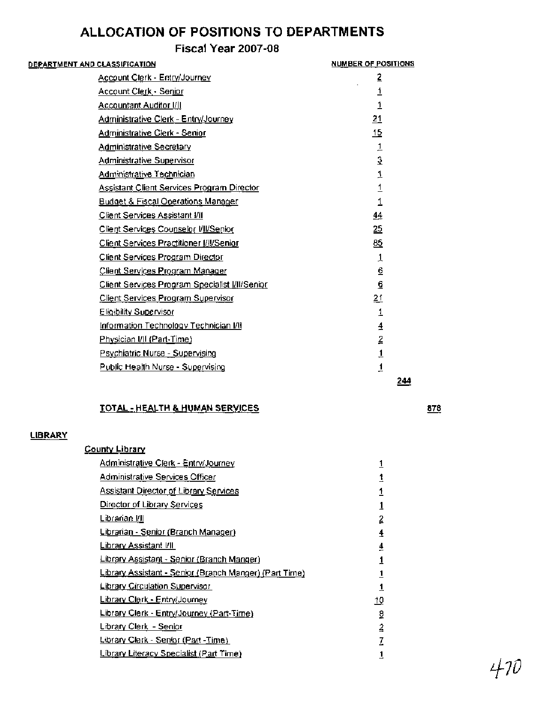## **Fiscal Year 2007-08**

| <u>DEPARTMENT AND CLASSIFICATION</u>              | <b>NUMBER OF POSITIONS</b> |
|---------------------------------------------------|----------------------------|
| Account Clerk - Entry/Journey                     | 2                          |
| <b>Account Clerk - Senior</b>                     | 1                          |
| <b>Accountant Auditor I/II</b>                    | 1                          |
| <b>Administrative Clerk - Entry/Journey</b>       | 21                         |
| Administrative Clerk - Senior                     | 15                         |
| <b>Administrative Secretary</b>                   | $\overline{1}$             |
| Administrative Supervisor                         | $\overline{3}$             |
| <b>Administrative Technician</b>                  | 1                          |
| <b>Assistant Client Services Program Director</b> |                            |
| <b>Budget &amp; Fiscal Operations Manager</b>     |                            |
| Client Services Assistant I/II                    | $\overline{44}$            |
| Client Services Counselor VII/Senior              | <u>25</u>                  |
| Client Services Practitioner [/   / Senior        | <u>85</u>                  |
| Client Services Program Director                  | 1                          |
| Client Services Program Manager                   | 6                          |
| Client Services Program Specialist I/II/Senior    | 6                          |
| <b>Client Services Program Supervisor</b>         | <u>21</u>                  |
| Eligibility Supervisor                            | 1                          |
| <u>Information Technology Technician I/II</u>     | 4                          |
| Physician I/II (Part-Time)                        | 2                          |
| Psychiatric Nurse - Supervising                   | $\overline{1}$             |
| Public Health Nurse - Supervising                 | $\overline{1}$             |
|                                                   | 244                        |
|                                                   |                            |

#### **TOTAL** - **HEALTH** & **HUMAN SERVICES**

#### **LIBRARY**

| County Library                                         |                |
|--------------------------------------------------------|----------------|
| Administrative Clerk - Entry/Journey                   | 1              |
| Administrative Services Officer                        | 1              |
| <b>Assistant Director of Library Services</b>          | $\overline{1}$ |
| <u>Director of Library Services</u>                    | 1              |
| Librarian I/II                                         | $\overline{2}$ |
| <u> Librarian - Senior (Branch Manager)</u>            | 4              |
| <u>Library Assistant I/II</u>                          | ₹              |
| Library Assistant - Senior (Branch Manger)             | 1              |
| Library Assistant - Senior (Branch Manger) (Part Time) | <u>1</u>       |
| <b>Library Circulation Supervisor</b>                  | 1              |
| <b>Library Clerk - Entry/Journey</b>                   | <u> 10</u>     |
| Library Clerk - Entry/Journey (Part-Time)              | 2              |
| <b>Library Clerk - Senior</b>                          | $\overline{2}$ |
| Library Clerk - Senior (Part -Time)                    | I              |
| <b>Library Literacy Specialist (Part Time)</b>         | 1              |

878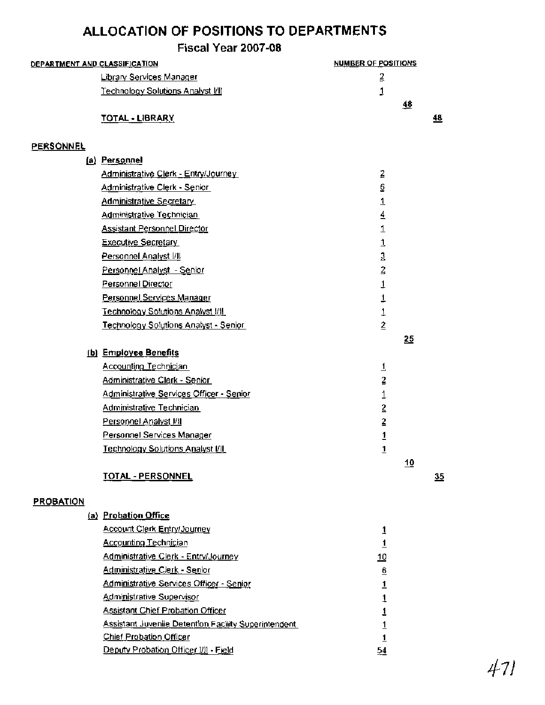|                                      | Fiscal Year 2007-08                          |                            |           |
|--------------------------------------|----------------------------------------------|----------------------------|-----------|
| <u>DEPARTMENT AND CLASSIFICATION</u> |                                              | <b>NUMBER OF POSITIONS</b> |           |
|                                      | <b>Library Services Manager</b>              | 2                          |           |
|                                      | Technology Solutions Analyst I/II            | 1                          |           |
|                                      |                                              | 48                         |           |
|                                      | <b>TOTAL - LIBRARY</b>                       |                            | <u>48</u> |
| <b>PERSONNEL</b>                     |                                              |                            |           |
|                                      | (a) Personnel                                |                            |           |
|                                      | Administrative Clerk - Entry/Journey         | 2                          |           |
|                                      | Administrative Clerk - Senior                | 6                          |           |
|                                      | <b>Administrative Secretary</b>              | 1                          |           |
|                                      | Administrative Technician                    | 4                          |           |
|                                      | <b>Assistant Personnel Director</b>          | 1                          |           |
|                                      | <b>Executive Secretary</b>                   | $\overline{1}$             |           |
|                                      | Personnel Analyst VII                        | 3                          |           |
|                                      | Personnel Analyst - Senior                   | $\overline{2}$             |           |
|                                      | Personnel Director                           | 1                          |           |
|                                      | Personnel Services Manager                   | 1                          |           |
|                                      | <b>Technology Solutions Analyst I/II</b>     | $\overline{1}$             |           |
|                                      | <b>Technology Solutions Analyst - Senior</b> | $\overline{2}$             |           |
|                                      |                                              | 25                         |           |
|                                      | (b) Employee Benefits                        |                            |           |
|                                      | Accounting Technician                        | 1                          |           |
|                                      | <u> Administrative Clerk - Senior </u>       | $\overline{2}$             |           |
|                                      | Administrative Services Officer - Senior     | 1                          |           |
|                                      | Administrative Technician                    | $\overline{2}$             |           |
|                                      | Personnel Analyst I/II                       | $\overline{2}$             |           |
|                                      | Personnel Services Manager                   | $\overline{\mathbf{1}}$    |           |
|                                      | Technology Solutions Analyst I/II            | $\overline{1}$             |           |
|                                      |                                              | 10                         |           |
|                                      | <b>TOTAL - PERSONNEL</b>                     |                            | 35        |
| <b>PROBATION</b>                     |                                              |                            |           |
|                                      |                                              |                            |           |

(a) Probation Office **Account Clerk Entry/Journey**  $\mathbf{1}$ **Accounting Technician**  $\overline{1}$ Administrative Clerk - Entry/Journey  $10$ Administrative Clerk - Senior  $\underline{\mathbf{6}}$ Administrative Services Officer - Senior  $\overline{1}$ Administrative Supervisor  $\mathbf{1}$ **Assistant Chief Probation Officer**  $\mathbf{1}$ Assistant Juvenile Detention Facility Superintendent  $\overline{1}$ Chief Probation Officer  $\mathbf{1}$ Deputy Probation Officer I/II - Field  $54$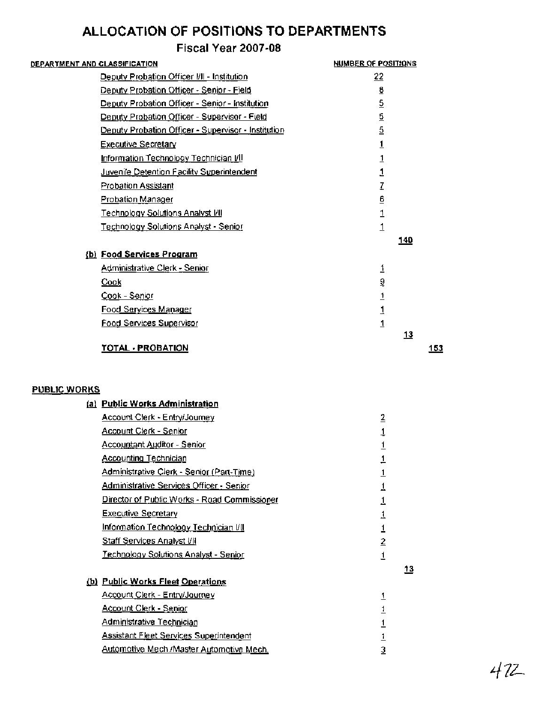## **Fiscal Year 2007-08**

| <u>DEPARTMENT AND CLASSIFICATION</u>                | <b>NUMBER OF POSITIONS</b> |     |
|-----------------------------------------------------|----------------------------|-----|
| Deputy Probation Officer I/II - Institution         | <u>22</u>                  |     |
| Deputy Probation Officer - Senior - Field           | <u>ខ</u>                   |     |
| Deputy Probation Officer - Senior - Institution     | 5                          |     |
| Deputy Probation Officer - Supervisor - Field       | $\overline{2}$             |     |
| Deputy Probation Officer - Supervisor - Institution | $\overline{5}$             |     |
| <b>Executive Secretary</b>                          | 1                          |     |
| Information Technology Technician VII               | <u>1</u>                   |     |
| Juvenile Detention Facility Superintendent          | 1                          |     |
| <b>Probation Assistant</b>                          | I                          |     |
| <u>Probation Manager</u>                            | 6                          |     |
| <u> Technology Solutions Analyst I/II</u>           | 1                          |     |
| Technology Solutions Analyst - Senior               | $\overline{1}$             |     |
|                                                     | 140                        |     |
| (b) Food Services Program                           |                            |     |
| <u> Administrative Clerk - Senior</u>               | 1                          |     |
| <u>Cook</u>                                         | 9                          |     |
| Cook - Senior                                       | $\overline{1}$             |     |
| Food Services Manager                               | 1                          |     |
| Food Services Supervisor                            | $\overline{1}$             |     |
|                                                     | <u>13</u>                  |     |
| TOTAL - PROBATION                                   |                            | 153 |

#### **PUBLIC WORKS**

| <u>(a) Public Works Administration</u>         |                         |    |
|------------------------------------------------|-------------------------|----|
| <b>Account Clerk - Entry/Journey</b>           | $\overline{2}$          |    |
| <u> Account Clerk - Senior</u>                 |                         |    |
| <b>Accountant Auditor - Senior</b>             |                         |    |
| <b>Accounting Technician</b>                   | 1                       |    |
| Administrative Clerk - Senior (Part-Time)      |                         |    |
| Administrative Services Officer - Senior       |                         |    |
| Director of Public Works - Road Commissioner   |                         |    |
| <b>Executive Secretary</b>                     |                         |    |
| Information Technology Technician VII          |                         |    |
| <b>Staff Services Analyst VII</b>              | $\overline{2}$          |    |
| <u> Technology Solutions Analyst - Senior</u>  | 1                       |    |
|                                                |                         | 13 |
| (b) Public Works Fleet Operations              |                         |    |
| <b>Account Clerk - Entry/Journey</b>           | 1                       |    |
| <u> Account Clerk - Senior</u>                 |                         |    |
| <u> Administrative Technician</u>              |                         |    |
| <b>Assistant Fleet Services Superintendent</b> |                         |    |
| Automotive Mech./Master Automotive Mech.       | $\overline{\mathbf{3}}$ |    |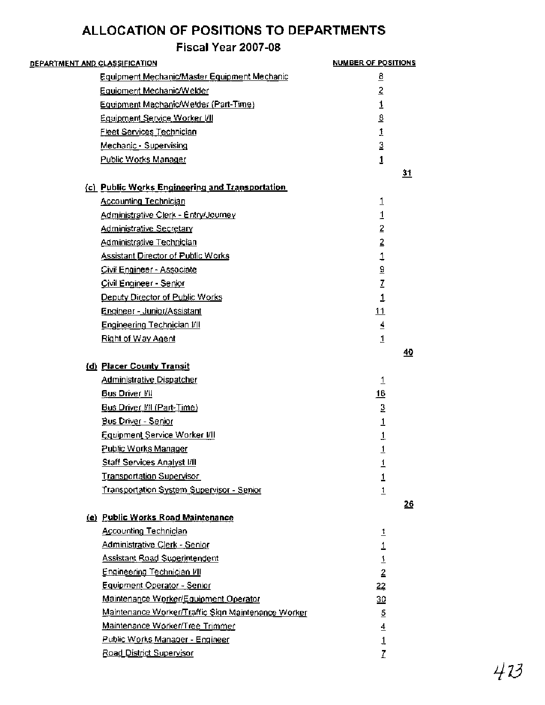| <u>DEPARTMENT AND CLASSIFICATION</u> |                                                    | <b>NUMBER OF POSITIONS</b>  |    |
|--------------------------------------|----------------------------------------------------|-----------------------------|----|
|                                      | Equipment Mechanic/Master Equipment Mechanic       | <u>ខ</u>                    |    |
|                                      | Equipment Mechanic/Welder                          | $\overline{2}$              |    |
|                                      | Equipment Mechanic/Welder (Part-Time)              | $\overline{1}$              |    |
|                                      | Equipment Service Worker VII                       | $\underline{\mathbf{8}}$    |    |
|                                      | <b>Fleet Services Technician</b>                   | $\mathbf{1}$                |    |
|                                      | Mechanic - Supervising                             | 3                           |    |
|                                      | Public Works Manager                               | $\overline{1}$              |    |
|                                      |                                                    |                             | 31 |
|                                      | (c) Public Works Engineering and Transportation    |                             |    |
|                                      | <b>Accounting Technician</b>                       | 1                           |    |
|                                      | Administrative Clerk - Entry/Journey               | 1                           |    |
|                                      | <b>Administrative Secretary</b>                    | $\overline{2}$              |    |
|                                      | Administrative Technician                          | $\overline{2}$              |    |
|                                      | <b>Assistant Director of Public Works</b>          |                             |    |
|                                      | Civil Engineer - Associate                         | $\frac{1}{2}$               |    |
|                                      | Civil Engineer - Senior                            |                             |    |
|                                      | Deputy Director of Public Works                    | $\mathbf{1}$                |    |
|                                      | Engineer - Junior/Assistant                        | 11                          |    |
|                                      | Engineering Technician I/II                        | $\overline{\mathbf{4}}$     |    |
|                                      | Right of Way Agent                                 | $\overline{1}$              |    |
|                                      |                                                    |                             | 40 |
|                                      | (d) Placer County Transit                          |                             |    |
|                                      | <b>Administrative Dispatcher</b>                   | $\overline{1}$              |    |
|                                      | <b>Bus Driver VII</b>                              | 16                          |    |
|                                      | Bus Driver VII (Part-Time)                         | $\mathbf{\underline{3}}$    |    |
|                                      | <b>Bus Driver - Senior</b>                         | 1                           |    |
|                                      | Equipment Service Worker I/II                      | 1                           |    |
|                                      | Public Works Manager                               | $\overline{1}$              |    |
|                                      | <b>Staff Services Analyst I/II</b>                 | 1                           |    |
|                                      | <b>Transportation Supervisor</b>                   | 1                           |    |
|                                      | Transportation System Supervisor - Senior          | $\overline{1}$              |    |
|                                      |                                                    |                             | 26 |
|                                      | (e) Public Works Road Maintenance                  |                             |    |
|                                      | <b>Accounting Technician</b>                       | $\overline{1}$              |    |
|                                      | Administrative Clerk - Senior                      |                             |    |
|                                      | <b>Assistant Road Superintendent</b>               |                             |    |
|                                      | <b>Engineering Technician I/II</b>                 | $\frac{1}{1}$ $\frac{1}{2}$ |    |
|                                      | <b>Equipment Operator - Senior</b>                 | 22                          |    |
|                                      | Maintenance Worker/Equipment Operator              | 30                          |    |
|                                      | Maintenance Worker/Traffic Sign Maintenance Worker | $\overline{5}$              |    |
|                                      | Maintenance Worker/Tree Trimmer                    | $\overline{4}$              |    |
|                                      | Public Works Manager - Engineer                    | $\mathbf{1}$                |    |
|                                      | Road District Supervisor                           | Z                           |    |
|                                      |                                                    |                             |    |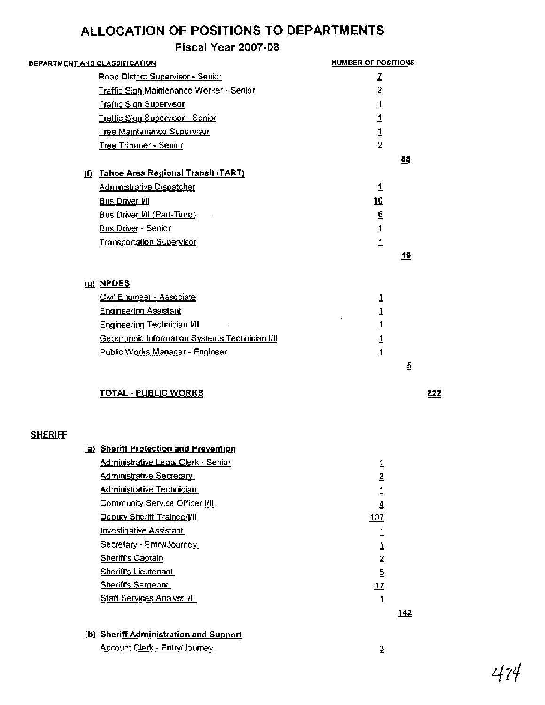## **Fiscal Year 2007-08**

|                | DEPARTMENT AND CLASSIFICATION                  | <b>NUMBER OF POSITIONS</b> |             |
|----------------|------------------------------------------------|----------------------------|-------------|
|                | Road District Supervisor - Senior              | z                          |             |
|                | Traffic Sign Maintenance Worker - Senior       | 2                          |             |
|                | Traffic Sign Supervisor                        | $\overline{1}$             |             |
|                | <b>Traffic Sign Supervisor - Senior</b>        |                            |             |
|                | Tree Maintenance Supervisor                    | $\frac{1}{1}$              |             |
|                | Tree Trimmer - Senior                          | $\overline{2}$             |             |
|                |                                                |                            | 88          |
|                | (f) Tahoe Area Regional Transit (TART)         |                            |             |
|                | Administrative Dispatcher                      | $\overline{1}$             |             |
|                | <b>Bus Driver I/II</b>                         | 10                         |             |
|                | <b>Bus Driver I/II (Part-Time)</b>             | $\underline{6}$            |             |
|                | <b>Bus Driver - Senior</b>                     | $\overline{1}$             |             |
|                | <b>Transportation Supervisor</b>               | $\overline{1}$             |             |
|                |                                                |                            | <u> 19</u>  |
|                |                                                |                            |             |
|                | $(a)$ NPDES                                    |                            |             |
|                | Civil Engineer - Associate                     | 1                          |             |
|                | <b>Engineering Assistant</b>                   | 1                          |             |
|                | <b>Engineering Technician I/II</b>             | $\mathbf{1}$               |             |
|                | Geographic Information Systems Technician I/II | $\overline{1}$             |             |
|                | Public Works Manager - Engineer                | $\overline{1}$             |             |
|                |                                                |                            | 5           |
|                | <b>TOTAL - PUBLIC WORKS</b>                    |                            |             |
| <b>SHERIFF</b> |                                                |                            |             |
|                | (a) Sheriff Protection and Prevention          |                            |             |
|                | Administrative Legal Clerk - Senior            | 1                          |             |
|                | <b>Administrative Secretary</b>                | 2                          |             |
|                | Administrative Technician                      | 1                          |             |
|                | Community Service Officer [/II]                | $\overline{4}$             |             |
|                | Deputy Sheriff Trainee/[/II                    | 107                        |             |
|                | <b>Investigative Assistant</b>                 | 1                          |             |
|                | Secretary - Entry/Journey                      | 1                          |             |
|                | <b>Sheriff's Captain</b>                       | $\overline{2}$             |             |
|                | Sheriff's Lieutenant                           | $\overline{5}$             |             |
|                | Sheriff's Sergeant                             | $\mathbf{1}$               |             |
|                | <b>Staff Services Analyst I/II</b>             | $\overline{1}$             |             |
|                |                                                |                            | <u> 142</u> |
|                | (b) Sheriff Administration and Support         |                            |             |
|                |                                                |                            |             |

Account Clerk - Entry/Journey

 $222$ 

 $\overline{3}$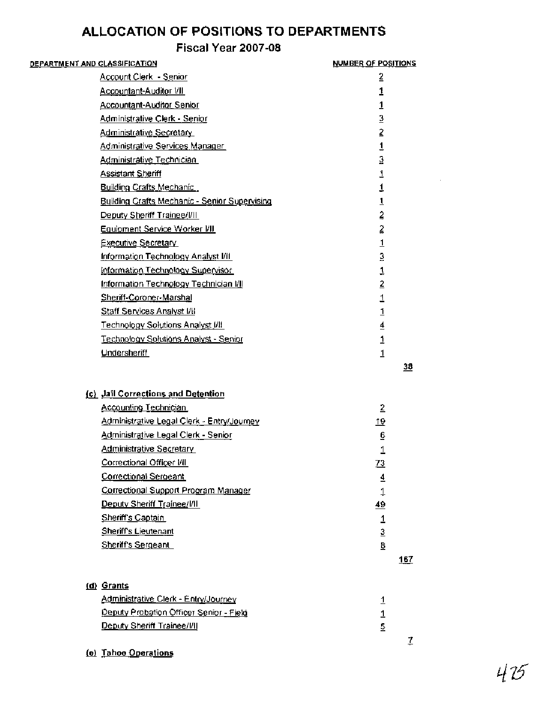## **Fiscal Year 2007-08**

| <u>DEPARTMENT AND CLASSIFICATION</u> |                                               | NUMBER OF POSITIONS |
|--------------------------------------|-----------------------------------------------|---------------------|
|                                      | <b>Account Clerk - Senior</b>                 | 2                   |
|                                      | Accountant-Auditor I/II                       | 1                   |
|                                      | <b>Accountant-Auditor Senior</b>              | 1                   |
|                                      | Administrative Clerk - Senior                 | 3                   |
|                                      | <b>Administrative Secretary</b>               | 2                   |
|                                      | Administrative Services Manager               | $\overline{1}$      |
|                                      | Administrative Technician                     | $\overline{3}$      |
|                                      | <b>Assistant Sheriff</b>                      | $\overline{1}$      |
|                                      | <b>Building Crafts Mechanic</b>               | $\mathbf 1$         |
|                                      | Building Crafts Mechanic - Senior Supervising | $\overline{1}$      |
|                                      | Deputy Sheriff Trainee/[/]                    | $\hat{z}$           |
|                                      | <b>Equipment Service Worker VII</b>           | $\ddot{=}$          |
|                                      | <b>Executive Secretary</b>                    | $\overline{1}$      |
|                                      | Information Technology Analyst I/II           | 3                   |
|                                      | Information Technology Supervisor             | $\overline{1}$      |
|                                      | Information Technology Technician I/II        | $\overline{2}$      |
|                                      | Sheriff-Coroner-Marshal                       | $\overline{1}$      |
|                                      | <b>Staff Services Analyst I/II</b>            | $\mathbf{1}$        |
|                                      | <b>Technology Solutions Analyst J/II</b>      | $\overline{4}$      |
|                                      | Technology Solutions Analyst - Senior         | $\mathbf{1}$        |
|                                      | Undersheriff                                  | $\mathbf{1}$        |
|                                      |                                               | 38                  |
|                                      | (c) Jail Corrections and Detention            |                     |
|                                      | <b>Accounting Technician</b>                  | $\overline{2}$      |
|                                      | Administrative Legal Clerk - Entry/Journey    | <u>19</u>           |
|                                      | Administrative Legal Clerk - Senior           | 6                   |
|                                      | <b>Administrative Secretary</b>               | 1                   |
|                                      | Correctional Officer I/II                     | <u>73</u>           |
|                                      | Correctional Sergeant                         | $\overline{4}$      |
|                                      | Correctional Support Program Manager          | $\downarrow$        |
|                                      | Deputy Sheriff Trainee/I/II                   | 49                  |
|                                      | Sheriff's Captain                             | $\mathbf 1$         |
|                                      | <b>Sheriff's Lieutenant</b>                   | $\overline{3}$      |
|                                      | <b>Sheriff's Sergeant</b>                     | 8                   |
|                                      |                                               | 167                 |
|                                      | (d) Grants                                    |                     |
|                                      | Administrative Clerk - Entry/Journey          | <u>1</u>            |
|                                      | Deputy Probation Officer Senior - Field       | 1                   |
|                                      | Deputy Sheriff Trainee/I/II                   | 5                   |
|                                      |                                               | 7                   |

(e) Tahoe Operations

 $\mathcal{L}$ 

 $415$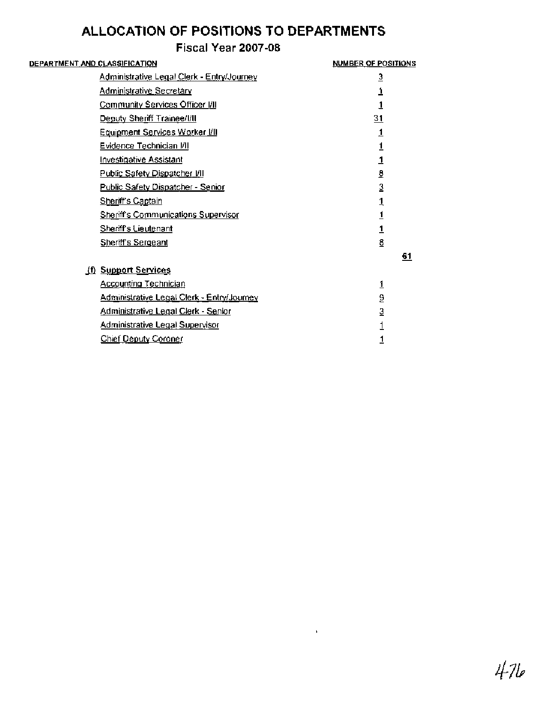## **Fiscal Year 2007-08**

| DEPARTMENT A <u>ND CL</u> AS <u>SIFICATION</u> |                                             | <b>NUMBER OF POSITIONS</b> |    |
|------------------------------------------------|---------------------------------------------|----------------------------|----|
| Administrative Legal Clerk - Entry/Journey     |                                             | 3                          |    |
|                                                | <b>Administrative Secretary</b>             | 1                          |    |
|                                                | Community Services Officer I/II             | 1                          |    |
|                                                | <b>Deputy Sheriff Trainee/I/II</b>          | $\overline{31}$            |    |
|                                                | Equipment Services Worker VII               | 1                          |    |
|                                                | <b>Evidence Technician VII</b>              | 1                          |    |
|                                                | <b>Investigative Assistant</b>              | 1                          |    |
|                                                | Public Safety Dispatcher VII                | ₫                          |    |
|                                                | <u> Public Safety Dispatcher - Senior</u>   | $\overline{3}$             |    |
|                                                | <b>Sheriff's Captain</b>                    | 1                          |    |
|                                                | Sheriff's Communications Supervisor         | 1                          |    |
|                                                | Sheriff's Lieutenant                        | $\overline{1}$             |    |
|                                                | <b>Sheriff's Sergeant</b>                   | 8                          |    |
|                                                |                                             |                            | 61 |
|                                                | (f) Support Services                        |                            |    |
|                                                | <b>Accounting Technician</b>                | <u>1</u>                   |    |
|                                                | Administrative Legal Clerk - Entry/Journey  | $\overline{a}$             |    |
|                                                | <u> Administrative Legal Clerk - Senior</u> | $\overline{3}$             |    |
|                                                | <u>Administrative Legal Supervisor</u>      |                            |    |
|                                                | Chief Deputy Coroner                        |                            |    |
|                                                |                                             |                            |    |

 $\mathbf{K}^{(1)}$  .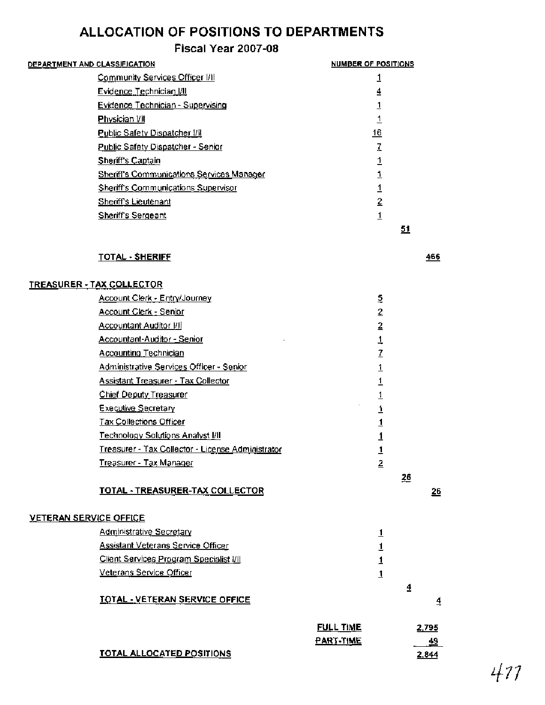## **Fiscal Year 2007-08**

| DEPARTMENT AND CLAS <u>SIFICATION</u>            | <b>NUMBER OF POSITIONS</b> |
|--------------------------------------------------|----------------------------|
| Community Services Officer I/II                  |                            |
| Evidence Technician I/II                         | ₹                          |
| Evidence Technician - Supervising                |                            |
| Physician I/II                                   |                            |
| Public Safety Dispatcher I/I                     | 16                         |
| Public Safety Dispatcher - Senior                |                            |
| Sheriff's Captain                                |                            |
| <b>Sheriff's Communications Services Manager</b> |                            |
| Sheriff's Communications Supervisor              |                            |
| <b>Sheriff's Lieutenant</b>                      | 2                          |
| Sheriff's Sergeant                               |                            |
|                                                  | 51                         |
| TOTAL - SHERIFF                                  | 466                        |

#### **TREASURER** - **TAX COLLECTOR**

|                               |                                                   | <b>FULL TIME</b><br>PART-TIME |                                |           | 2,795<br>49 |
|-------------------------------|---------------------------------------------------|-------------------------------|--------------------------------|-----------|-------------|
|                               | <b>TOTAL - VETERAN SERVICE OFFICE</b>             |                               |                                |           | 4           |
|                               |                                                   |                               |                                | 4         |             |
|                               | Veterans Service Officer                          |                               | $\overline{1}$                 |           |             |
|                               | <b>Client Services Program Specialist I/II</b>    |                               | 1                              |           |             |
|                               | <b>Assistant Veterans Service Officer</b>         |                               | $\overline{1}$<br>$\mathbf{1}$ |           |             |
| <b>VETERAN SERVICE OFFICE</b> | <b>Administrative Secretary</b>                   |                               |                                |           |             |
|                               |                                                   |                               |                                |           |             |
|                               | <b>TOTAL - TREASURER-TAX COLLECTOR</b>            |                               |                                | <u>26</u> | 26          |
|                               | Treasurer - Tax Manager                           |                               | $\overline{2}$                 |           |             |
|                               | Treasurer - Tax Collector - License Administrator |                               | $\overline{1}$                 |           |             |
|                               | Technology Solutions Analyst I/II                 |                               | 1                              |           |             |
|                               | <b>Tax Collections Officer</b>                    |                               | $\overline{1}$                 |           |             |
|                               | <b>Executive Secretary</b>                        |                               | 1                              |           |             |
|                               | <b>Chief Deputy Treasurer</b>                     |                               | $\overline{1}$                 |           |             |
|                               | Assistant Treasurer - Tax Collector               |                               | 1                              |           |             |
|                               | Administrative Services Officer - Senior          |                               | <u>1</u>                       |           |             |
|                               | Accounting Technician                             |                               | $\overline{I}$                 |           |             |
|                               | Accountant-Auditor - Senior                       |                               | $\overline{1}$                 |           |             |
|                               | <b>Accountant Auditor [/]</b>                     |                               | $\overline{2}$                 |           |             |
|                               | Account Clerk - Senior                            |                               | $\overline{2}$                 |           |             |
|                               | <b>Account Clerk - Entry/Journey</b>              |                               | 5                              |           |             |

**TOTAL ALLOCATED POSITIONS** 

 $477$ 

2,844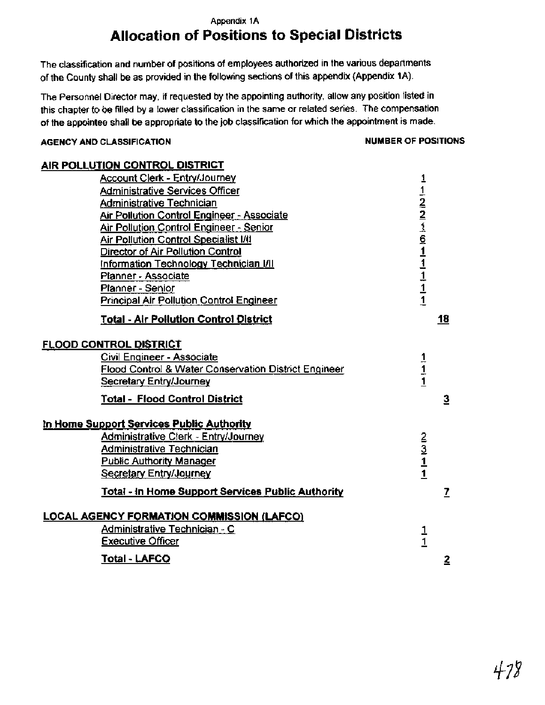## **Appendix 1A Allocation of Positions to Special Districts**

The classification and number of positions of employees authorized in the various departments of the County shall be as provided in the following sections of this appendix (Appendix 1A).

The Personnel Director may, if requested by the appointing authority, allow any position listed in this chapter to be filled by a lower classification in the same or related series. The compensation of the appointee shall be appropriate to the job classification for which the appointment is made.

#### AGENCY AND CLASSIFICATION **NUMBER OF POSITIONS**

| <b>AIR POLLUTION CONTROL DISTRICT</b>                     |                                                                                                                                             |
|-----------------------------------------------------------|---------------------------------------------------------------------------------------------------------------------------------------------|
| <b>Account Clerk - Entry/Journey</b>                      |                                                                                                                                             |
| <b>Administrative Services Officer</b>                    | $\frac{1}{1}$ $\frac{1}{2}$ $\frac{2}{3}$ $\frac{3}{4}$ $\frac{6}{1}$ $\frac{1}{1}$ $\frac{1}{1}$ $\frac{1}{1}$ $\frac{1}{1}$ $\frac{1}{1}$ |
| Administrative Technician                                 |                                                                                                                                             |
| <b>Air Pollution Control Engineer - Associate</b>         |                                                                                                                                             |
| Air Pollution Control Engineer - Senior                   |                                                                                                                                             |
| <b>Air Pollution Control Specialist I/II</b>              |                                                                                                                                             |
| Director of Air Pollution Control                         |                                                                                                                                             |
| Information Technology Technician I/II                    |                                                                                                                                             |
| Planner - Associate                                       |                                                                                                                                             |
| Planner - Senior                                          |                                                                                                                                             |
| <b>Principal Air Pollution Control Engineer</b>           |                                                                                                                                             |
| <b>Total - Air Pollution Control District</b>             | 18                                                                                                                                          |
| <b>FLOOD CONTROL DISTRICT</b>                             |                                                                                                                                             |
| Civil Engineer - Associate                                |                                                                                                                                             |
| Flood Control & Water Conservation District Engineer      | $\frac{1}{1}$                                                                                                                               |
| Secretary Entry/Journey                                   |                                                                                                                                             |
| Total - Flood Control District                            | 3                                                                                                                                           |
| In Home Support Services Public Authority                 |                                                                                                                                             |
| Administrative Clerk - Entry/Journey                      |                                                                                                                                             |
| Administrative Technician                                 | $\frac{2}{3}$ $\frac{1}{1}$                                                                                                                 |
| <b>Public Authority Manager</b>                           |                                                                                                                                             |
| Secretary Entry/Journey                                   |                                                                                                                                             |
| <u> Total - In Home Support Services Public Authority</u> | 7                                                                                                                                           |
| <b>LOCAL AGENCY FORMATION COMMISSION (LAFCO)</b>          |                                                                                                                                             |
| Administrative Technician - C                             |                                                                                                                                             |
| <b>Executive Officer</b>                                  | $\frac{1}{1}$                                                                                                                               |
|                                                           |                                                                                                                                             |
| <b>Total - LAFCO</b>                                      | 2                                                                                                                                           |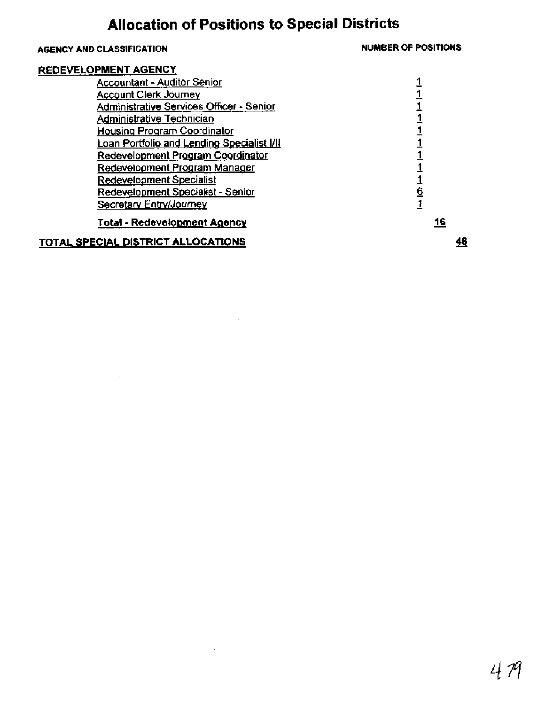# **Allocation of Positions to Special Districts**

### **AGENCY AND CLASSIFICATION NUMBER OF POSITIONS**

 $\frac{1}{1}$  $\frac{1}{1}$  $\frac{1}{1}$  $\frac{1}{1}$  $\frac{1}{1}$  $\frac{1}{1}$  $\frac{1}{1}$  $\frac{1}{1}$  $\frac{1}{1}$  $\frac{1}{1}$ 

#### **REDEVELOPMENT AGENCY**

**TOTAL SPECIAL DISTRICT ALLOCATIONS** 

| Accountant - Auditor Senior                     |  |
|-------------------------------------------------|--|
| <b>Account Clerk Journey</b>                    |  |
| <b>Administrative Services Officer - Senior</b> |  |
| Administrative Technician                       |  |
| Housing Program Coordinator                     |  |
| Loan Portfolio and Lending Specialist I/II      |  |
| Redevelopment Program Coordinator               |  |
| Redevelopment Program Manager                   |  |
| Redevelopment Specialist                        |  |
| Redevelopment Specialist - Senior               |  |
| Secretary Entry/Journey                         |  |
| <u> Total - Redevelopmen</u> t Agency           |  |

 $\mathcal{L}$ 

## $46$